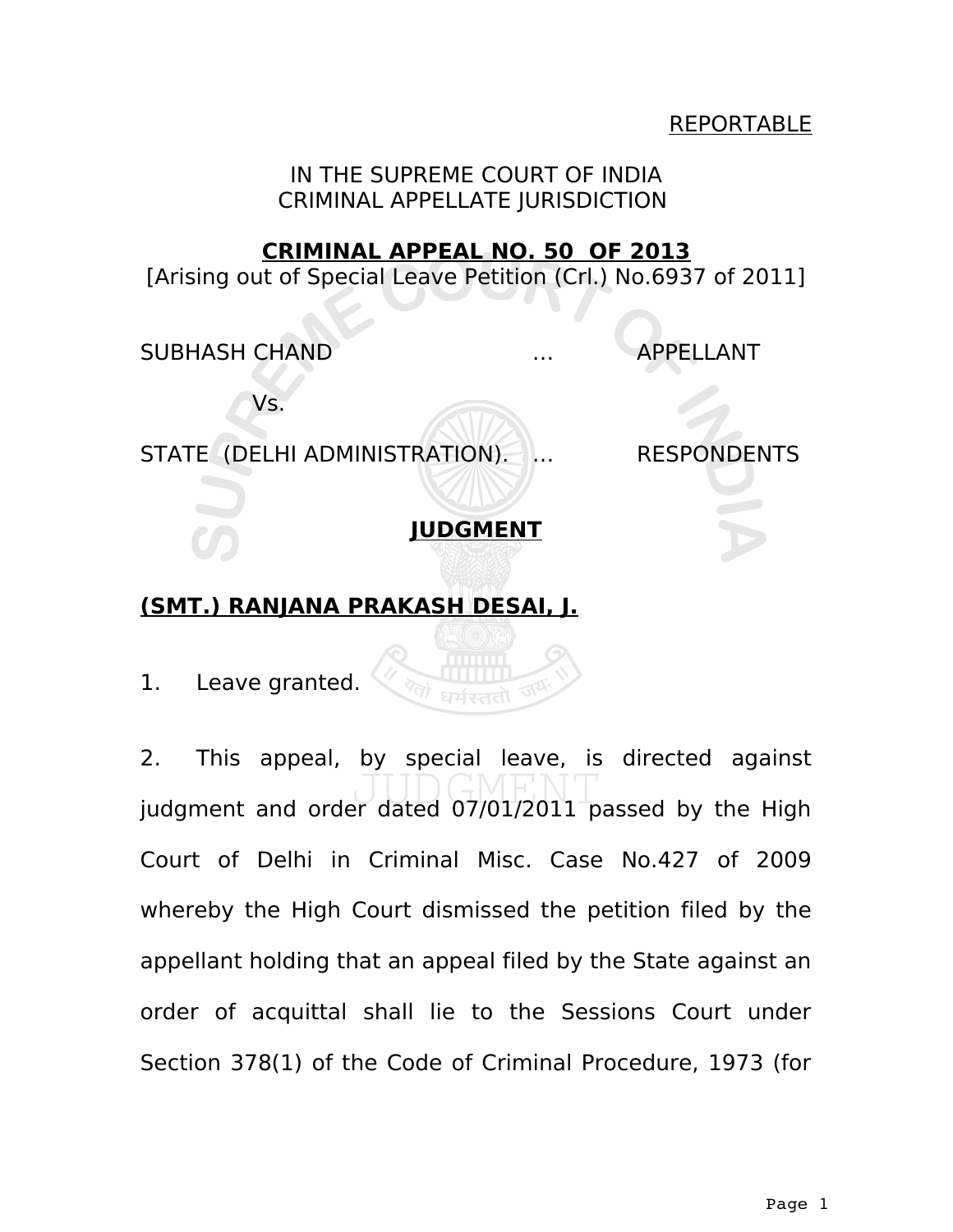### REPORTABLE

IN THE SUPREME COURT OF INDIA CRIMINAL APPELLATE JURISDICTION

#### **CRIMINAL APPEAL NO. 50 OF 2013**

[Arising out of Special Leave Petition (Crl.) No.6937 of 2011]

SUBHASH CHAND … APPELLANT

Vs.

STATE (DELHI ADMINISTRATION). ... RESPONDENTS

**JUDGMENT**

## **(SMT.) RANJANA PRAKASH DESAI, J.**

1. Leave granted.

2. This appeal, by special leave, is directed against judgment and order dated 07/01/2011 passed by the High Court of Delhi in Criminal Misc. Case No.427 of 2009 whereby the High Court dismissed the petition filed by the appellant holding that an appeal filed by the State against an order of acquittal shall lie to the Sessions Court under Section 378(1) of the Code of Criminal Procedure, 1973 (for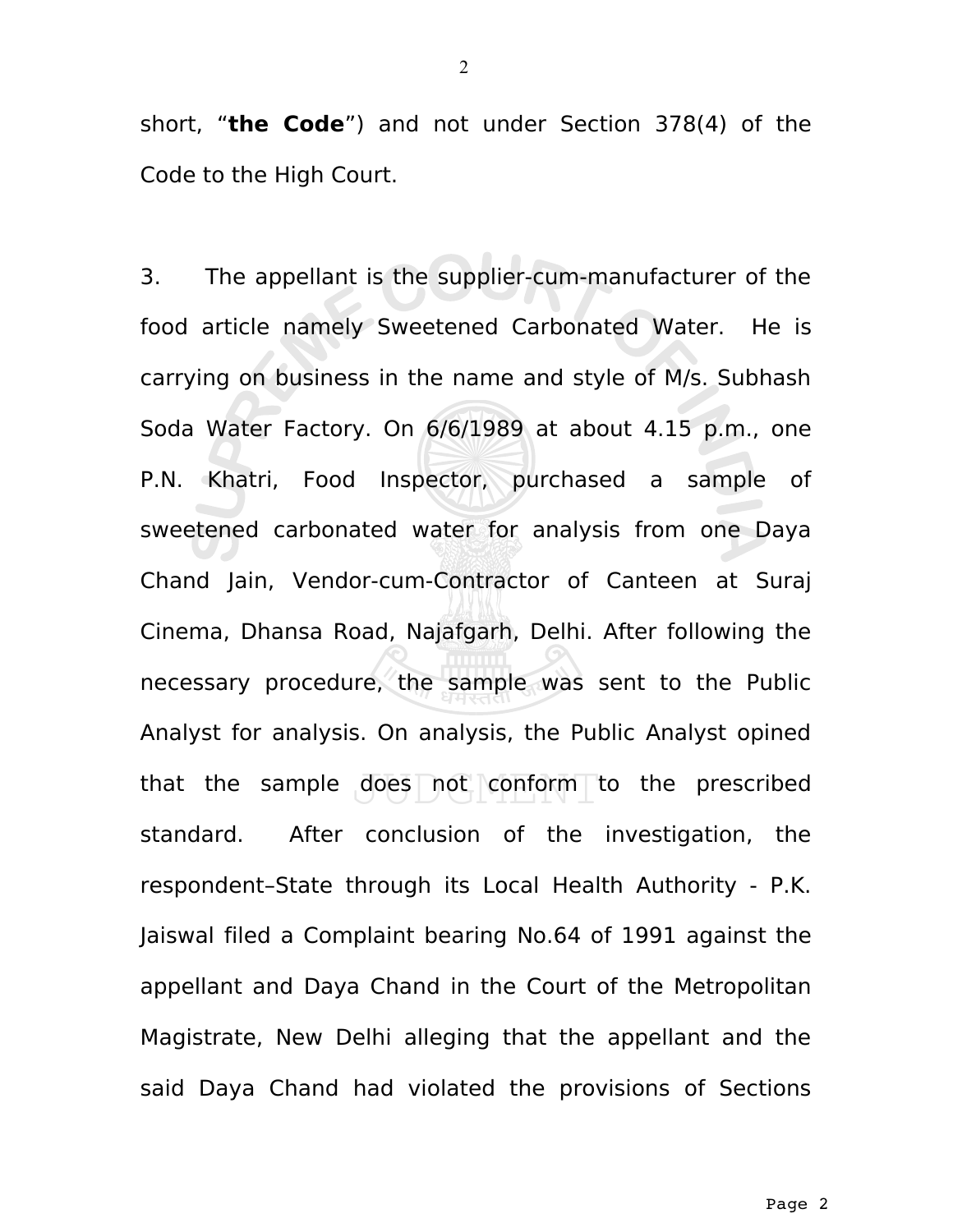short, "**the Code**") and not under Section 378(4) of the Code to the High Court.

3. The appellant is the supplier-cum-manufacturer of the food article namely Sweetened Carbonated Water. He is carrying on business in the name and style of M/s. Subhash Soda Water Factory. On 6/6/1989 at about 4.15 p.m., one P.N. Khatri, Food Inspector, purchased a sample of sweetened carbonated water for analysis from one Daya Chand Jain, Vendor-cum-Contractor of Canteen at Suraj Cinema, Dhansa Road, Najafgarh, Delhi. After following the necessary procedure, the sample was sent to the Public Analyst for analysis. On analysis, the Public Analyst opined that the sample does not conform to the prescribed standard. After conclusion of the investigation, the respondent–State through its Local Health Authority - P.K. Jaiswal filed a Complaint bearing No.64 of 1991 against the appellant and Daya Chand in the Court of the Metropolitan Magistrate, New Delhi alleging that the appellant and the said Daya Chand had violated the provisions of Sections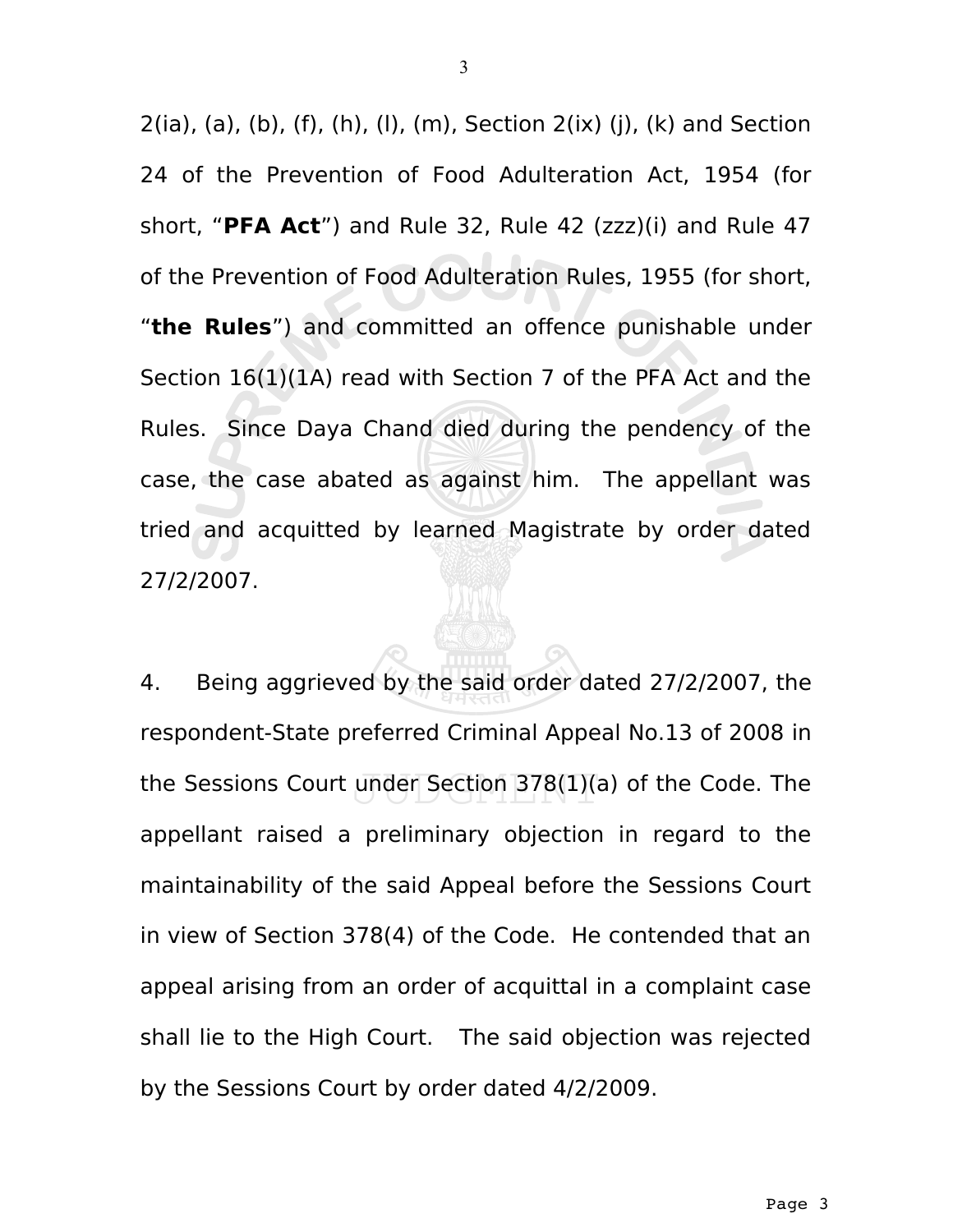$2(ia)$ ,  $(a)$ ,  $(b)$ ,  $(f)$ ,  $(h)$ ,  $(l)$ ,  $(m)$ , Section  $2(ix)$   $(i)$ ,  $(k)$  and Section 24 of the Prevention of Food Adulteration Act, 1954 (for short, "**PFA Act**") and Rule 32, Rule 42 (zzz)(i) and Rule 47 of the Prevention of Food Adulteration Rules, 1955 (for short, "**the Rules**") and committed an offence punishable under Section 16(1)(1A) read with Section 7 of the PFA Act and the Rules. Since Daya Chand died during the pendency of the case, the case abated as against him. The appellant was tried and acquitted by learned Magistrate by order dated 27/2/2007.

4. Being aggrieved by the said order dated 27/2/2007, the respondent-State preferred Criminal Appeal No.13 of 2008 in the Sessions Court under Section 378(1)(a) of the Code. The appellant raised a preliminary objection in regard to the maintainability of the said Appeal before the Sessions Court in view of Section 378(4) of the Code. He contended that an appeal arising from an order of acquittal in a complaint case shall lie to the High Court. The said objection was rejected by the Sessions Court by order dated 4/2/2009.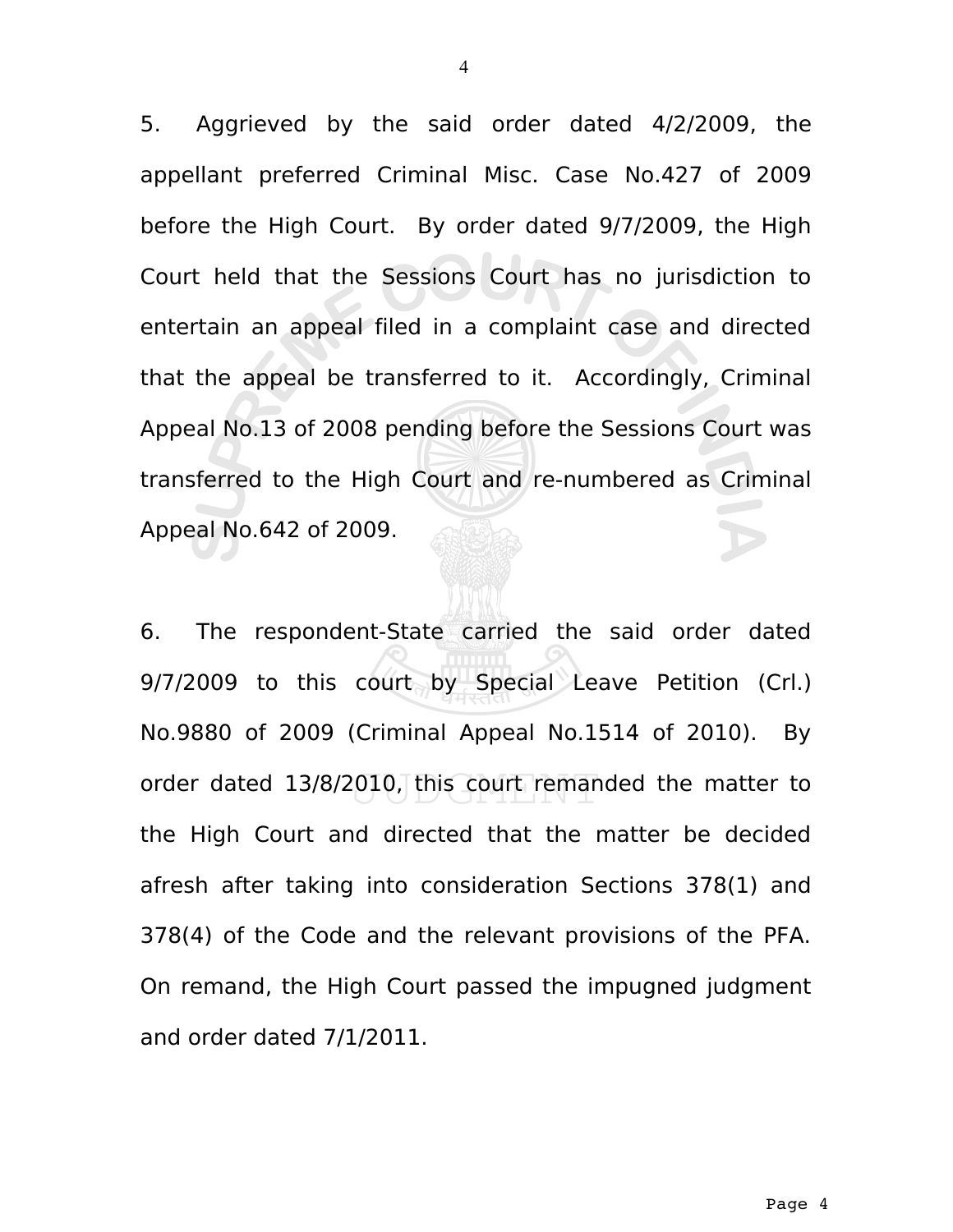5. Aggrieved by the said order dated 4/2/2009, the appellant preferred Criminal Misc. Case No.427 of 2009 before the High Court. By order dated 9/7/2009, the High Court held that the Sessions Court has no jurisdiction to entertain an appeal filed in a complaint case and directed that the appeal be transferred to it. Accordingly, Criminal Appeal No.13 of 2008 pending before the Sessions Court was transferred to the High Court and re-numbered as Criminal Appeal No.642 of 2009.

6. The respondent-State carried the said order dated 9/7/2009 to this court by Special Leave Petition (Crl.) No.9880 of 2009 (Criminal Appeal No.1514 of 2010). By order dated 13/8/2010, this court remanded the matter to the High Court and directed that the matter be decided afresh after taking into consideration Sections 378(1) and 378(4) of the Code and the relevant provisions of the PFA. On remand, the High Court passed the impugned judgment and order dated 7/1/2011.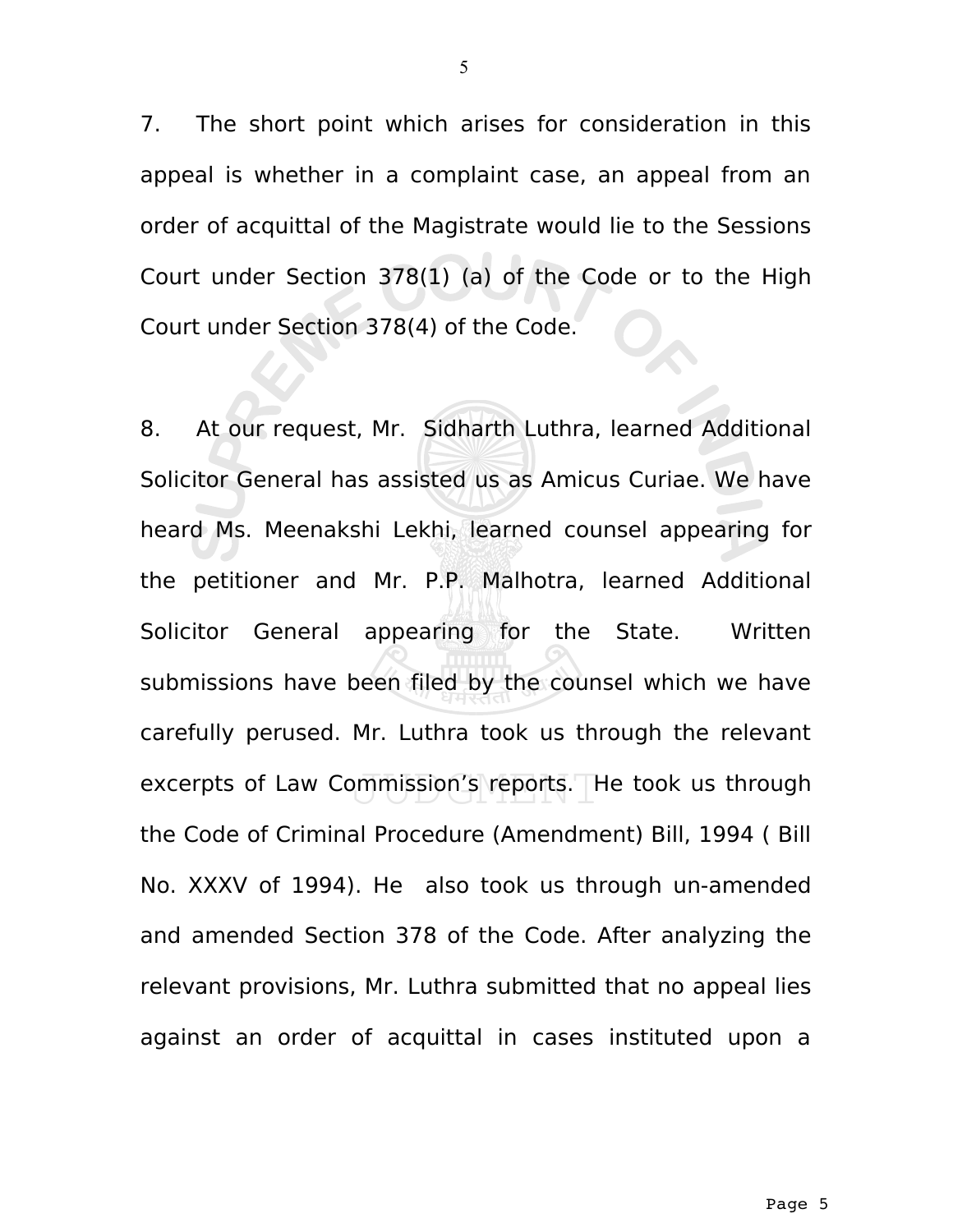7. The short point which arises for consideration in this appeal is whether in a complaint case, an appeal from an order of acquittal of the Magistrate would lie to the Sessions Court under Section 378(1) (a) of the Code or to the High Court under Section 378(4) of the Code.

8. At our request, Mr. Sidharth Luthra, learned Additional Solicitor General has assisted us as Amicus Curiae. We have heard Ms. Meenakshi Lekhi, learned counsel appearing for the petitioner and Mr. P.P. Malhotra, learned Additional Solicitor General appearing for the State. Written submissions have been filed by the counsel which we have carefully perused. Mr. Luthra took us through the relevant excerpts of Law Commission's reports. He took us through the Code of Criminal Procedure (Amendment) Bill, 1994 ( Bill No. XXXV of 1994). He also took us through un-amended and amended Section 378 of the Code. After analyzing the relevant provisions, Mr. Luthra submitted that no appeal lies against an order of acquittal in cases instituted upon a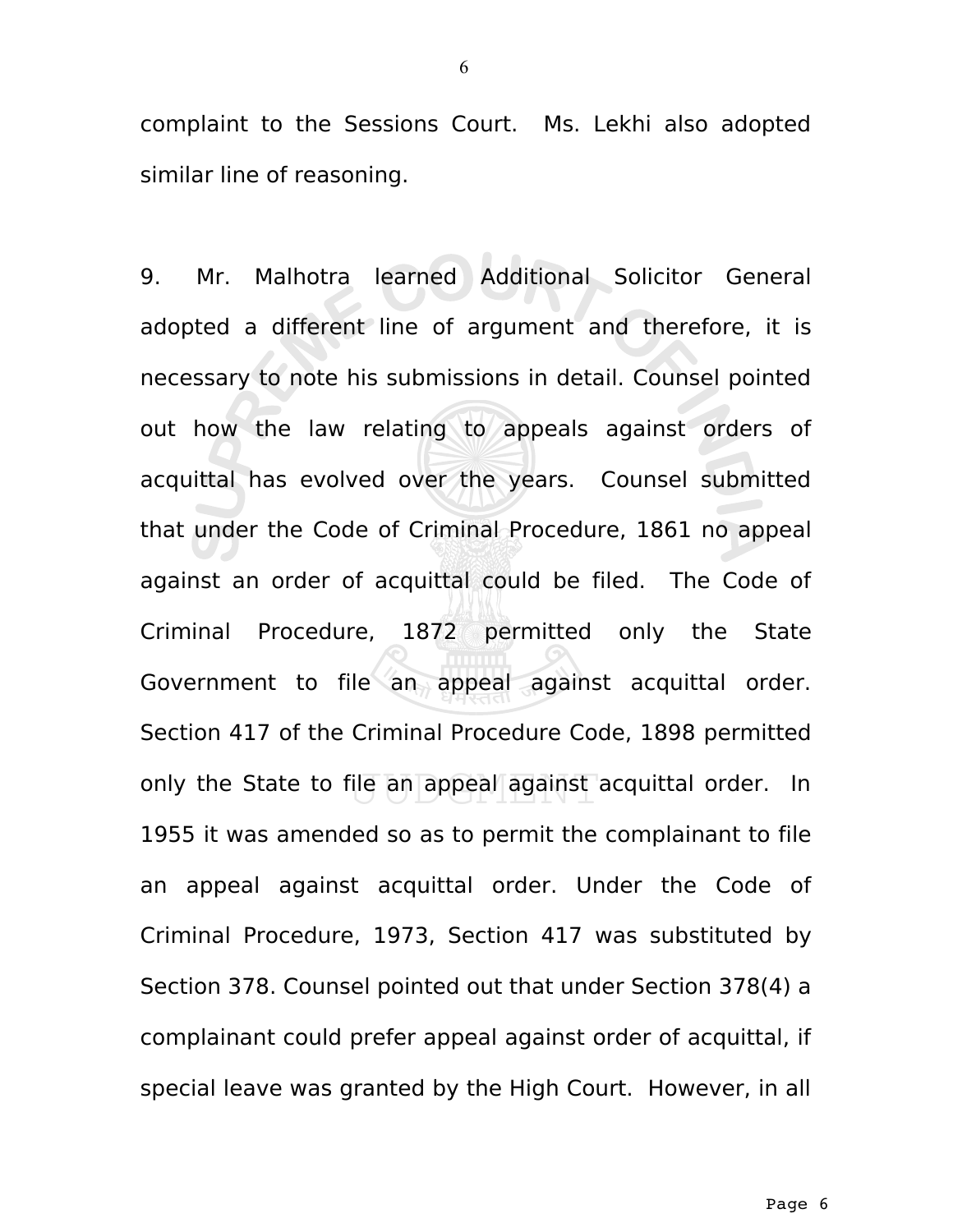complaint to the Sessions Court. Ms. Lekhi also adopted similar line of reasoning.

9. Mr. Malhotra learned Additional Solicitor General adopted a different line of argument and therefore, it is necessary to note his submissions in detail. Counsel pointed out how the law relating to appeals against orders of acquittal has evolved over the years. Counsel submitted that under the Code of Criminal Procedure, 1861 no appeal against an order of acquittal could be filed. The Code of Criminal Procedure, 1872 permitted only the State Government to file an appeal against acquittal order. Section 417 of the Criminal Procedure Code, 1898 permitted only the State to file an appeal against acquittal order. In 1955 it was amended so as to permit the complainant to file an appeal against acquittal order. Under the Code of Criminal Procedure, 1973, Section 417 was substituted by Section 378. Counsel pointed out that under Section 378(4) a complainant could prefer appeal against order of acquittal, if special leave was granted by the High Court. However, in all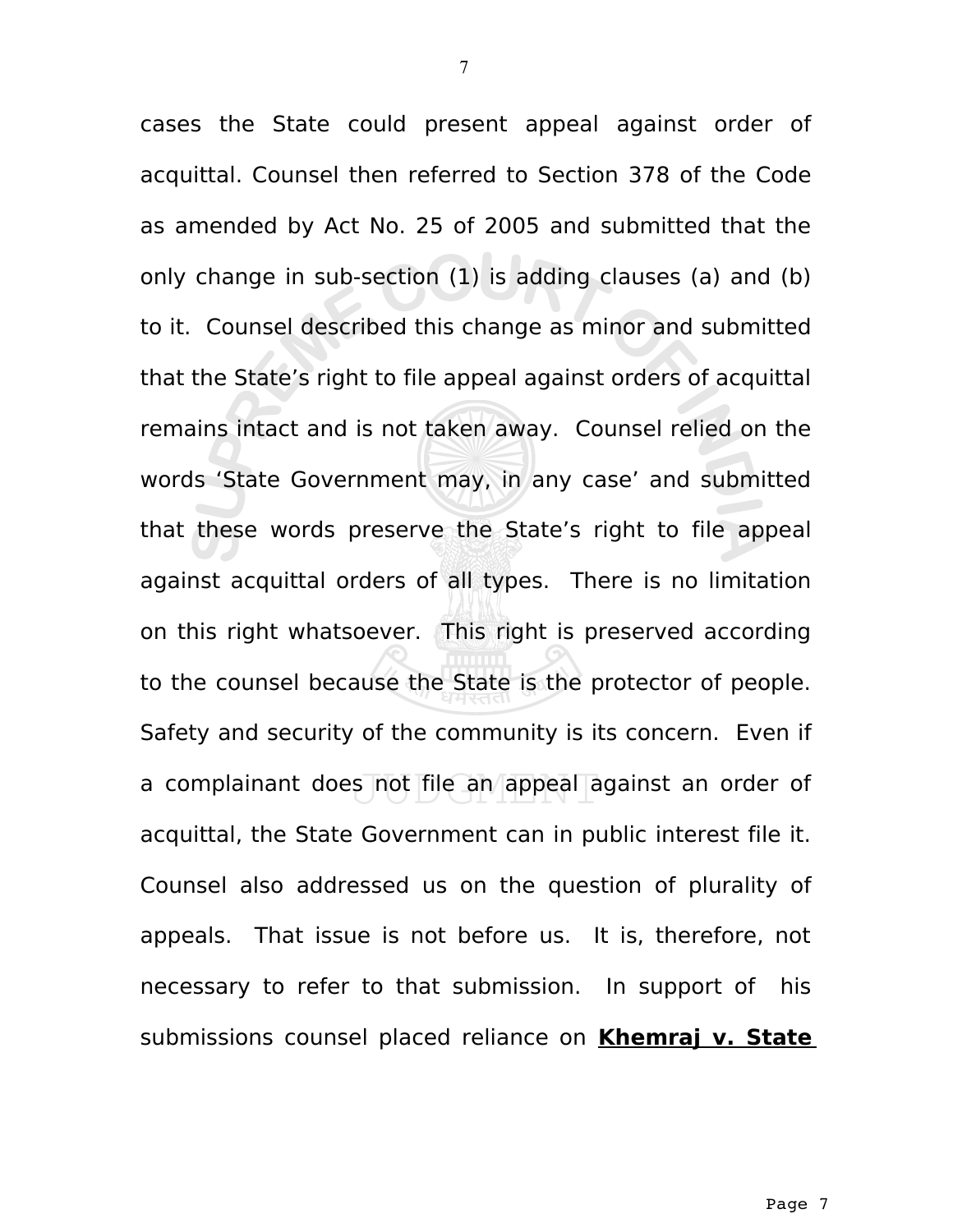cases the State could present appeal against order of acquittal. Counsel then referred to Section 378 of the Code as amended by Act No. 25 of 2005 and submitted that the only change in sub-section (1) is adding clauses (a) and (b) to it. Counsel described this change as minor and submitted that the State's right to file appeal against orders of acquittal remains intact and is not taken away. Counsel relied on the words 'State Government may, in any case' and submitted that these words preserve the State's right to file appeal against acquittal orders of all types. There is no limitation on this right whatsoever. This right is preserved according to the counsel because the State is the protector of people. Safety and security of the community is its concern. Even if a complainant does not file an appeal against an order of acquittal, the State Government can in public interest file it. Counsel also addressed us on the question of plurality of appeals. That issue is not before us. It is, therefore, not necessary to refer to that submission. In support of his submissions counsel placed reliance on **Khemraj v. State**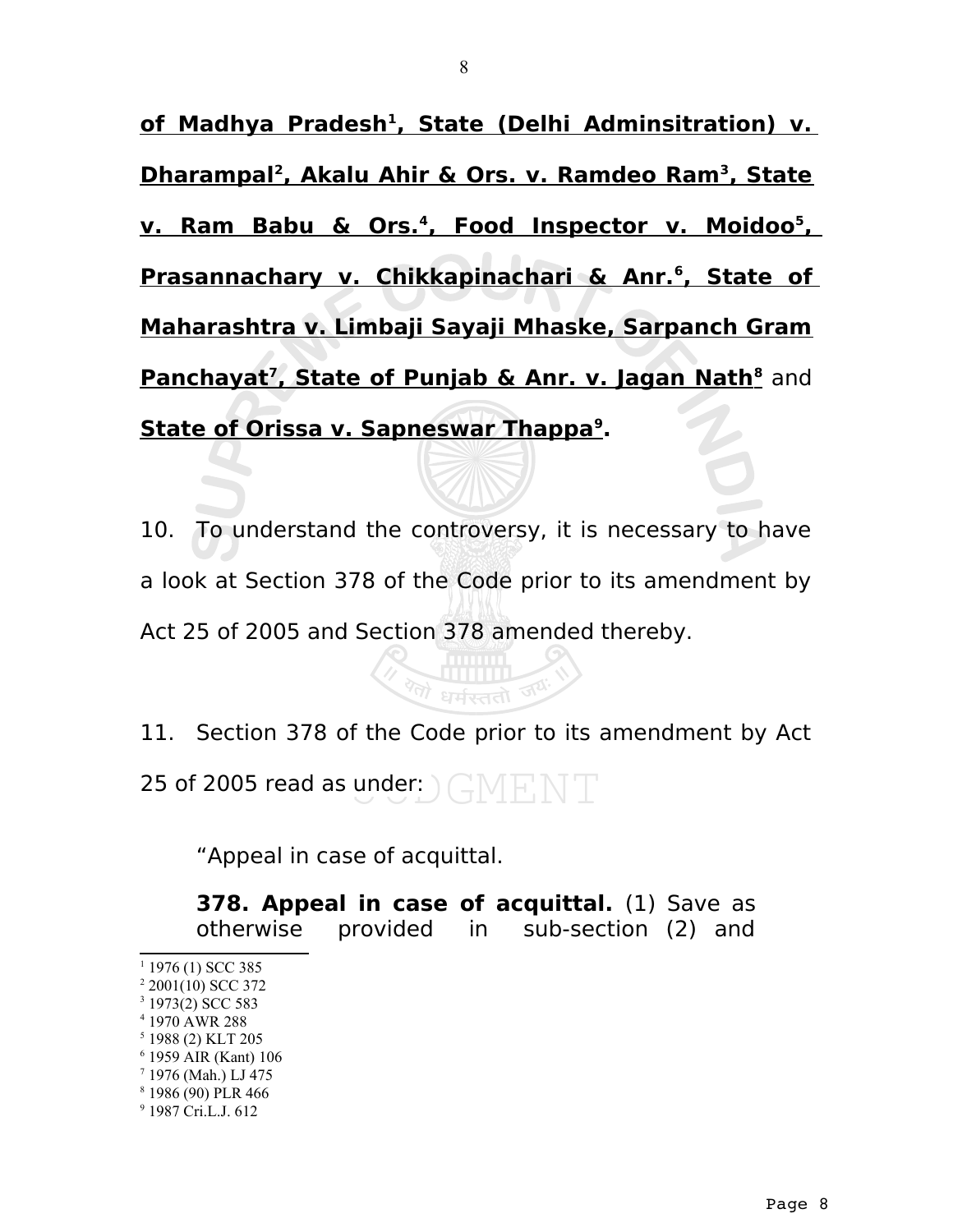**of Madhya Pradesh<sup>1</sup>  [,](#page-7-0) State (Delhi Adminsitration) v. Dharampal<sup>2</sup>  [,](#page-7-1) Akalu Ahir & Ors. v. Ramdeo Ram<sup>3</sup>  [,](#page-7-2) State v. Ram Babu & Ors.<sup>4</sup>  [,](#page-7-3) Food Inspector v. Moidoo<sup>5</sup>  [,](#page-7-4) Prasannachary v. Chikkapinachari & Anr.**<sup>6</sup>, State of **Maharashtra v. Limbaji Sayaji Mhaske, Sarpanch Gram Panchayat<sup>7</sup>,State of Punjab & Anr. v. Jagan Nath<sup>8</sup> and State of Orissa v. Sapneswar Thappa<sup>9</sup>  [.](#page-7-8)**

10. To understand the controversy, it is necessary to have a look at Section 378 of the Code prior to its amendment by Act 25 of 2005 and Section 378 amended thereby.

11. Section 378 of the Code prior to its amendment by Act 25 of 2005 read as under:

धर्मस्ततो ज<sup>र</sup>

"Appeal in case of acquittal.

**378. Appeal in case of acquittal.** (1) Save as otherwise provided in sub-section (2) and

- <span id="page-7-0"></span> $1$  1976 (1) SCC 385
- <span id="page-7-1"></span>2 2001(10) SCC 372
- <span id="page-7-2"></span>3 1973(2) SCC 583
- <span id="page-7-3"></span>4 1970 AWR 288
- <span id="page-7-4"></span>5 1988 (2) KLT 205
- <span id="page-7-5"></span>6 1959 AIR (Kant) 106
- <span id="page-7-6"></span>7 1976 (Mah.) LJ 475
- <span id="page-7-7"></span>8 1986 (90) PLR 466
- <span id="page-7-8"></span>9 1987 Cri.L.J. 612

8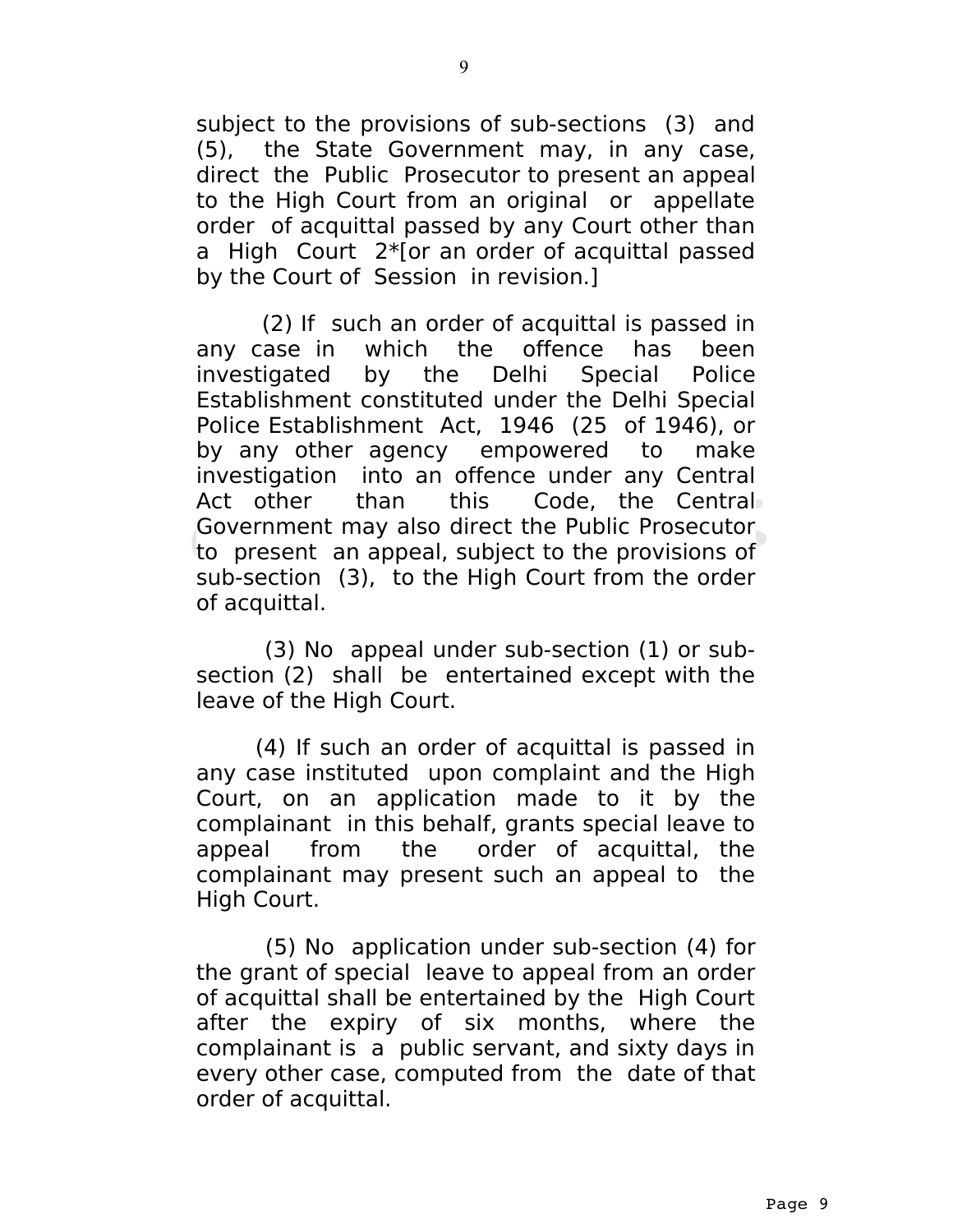subject to the provisions of sub-sections (3) and (5), the State Government may, in any case, direct the Public Prosecutor to present an appeal to the High Court from an original or appellate order of acquittal passed by any Court other than a High Court 2\*[or an order of acquittal passed by the Court of Session in revision.]

 (2) If such an order of acquittal is passed in any case in which the offence has been investigated by the Delhi Special Police Establishment constituted under the Delhi Special Police Establishment Act, 1946 (25 of 1946), or by any other agency empowered to make investigation into an offence under any Central Act other than this Code, the Central Government may also direct the Public Prosecutor to present an appeal, subject to the provisions of sub-section (3), to the High Court from the order of acquittal.

 (3) No appeal under sub-section (1) or subsection (2) shall be entertained except with the leave of the High Court.

 (4) If such an order of acquittal is passed in any case instituted upon complaint and the High Court, on an application made to it by the complainant in this behalf, grants special leave to appeal from the order of acquittal, the complainant may present such an appeal to the High Court.

 (5) No application under sub-section (4) for the grant of special leave to appeal from an order of acquittal shall be entertained by the High Court after the expiry of six months, where the complainant is a public servant, and sixty days in every other case, computed from the date of that order of acquittal.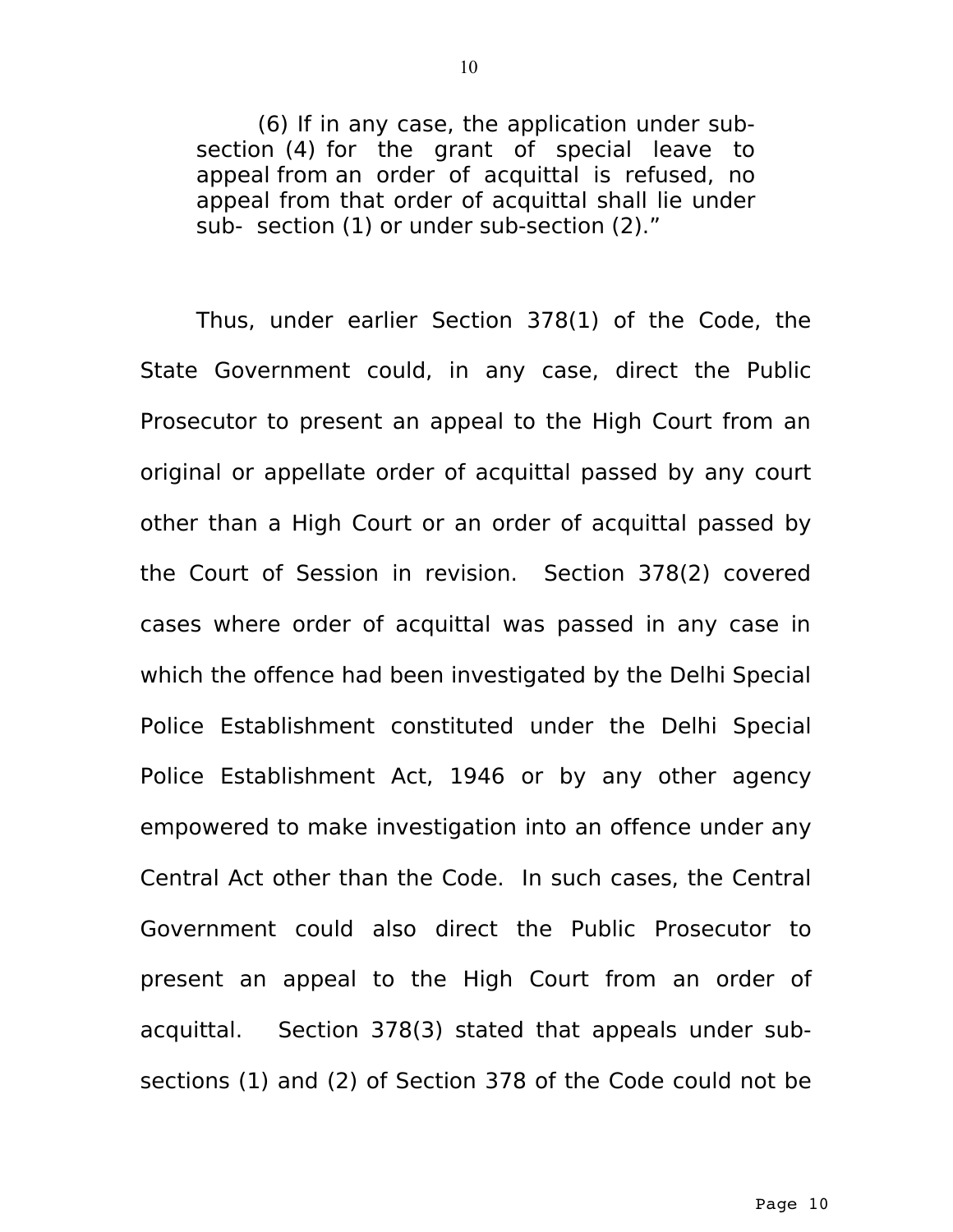(6) If in any case, the application under subsection (4) for the grant of special leave to appeal from an order of acquittal is refused, no appeal from that order of acquittal shall lie under sub- section (1) or under sub-section (2)."

Thus, under earlier Section 378(1) of the Code, the State Government could, in any case, direct the Public Prosecutor to present an appeal to the High Court from an original or appellate order of acquittal passed by any court other than a High Court or an order of acquittal passed by the Court of Session in revision. Section 378(2) covered cases where order of acquittal was passed in any case in which the offence had been investigated by the Delhi Special Police Establishment constituted under the Delhi Special Police Establishment Act, 1946 or by any other agency empowered to make investigation into an offence under any Central Act other than the Code. In such cases, the Central Government could also direct the Public Prosecutor to present an appeal to the High Court from an order of acquittal. Section 378(3) stated that appeals under subsections (1) and (2) of Section 378 of the Code could not be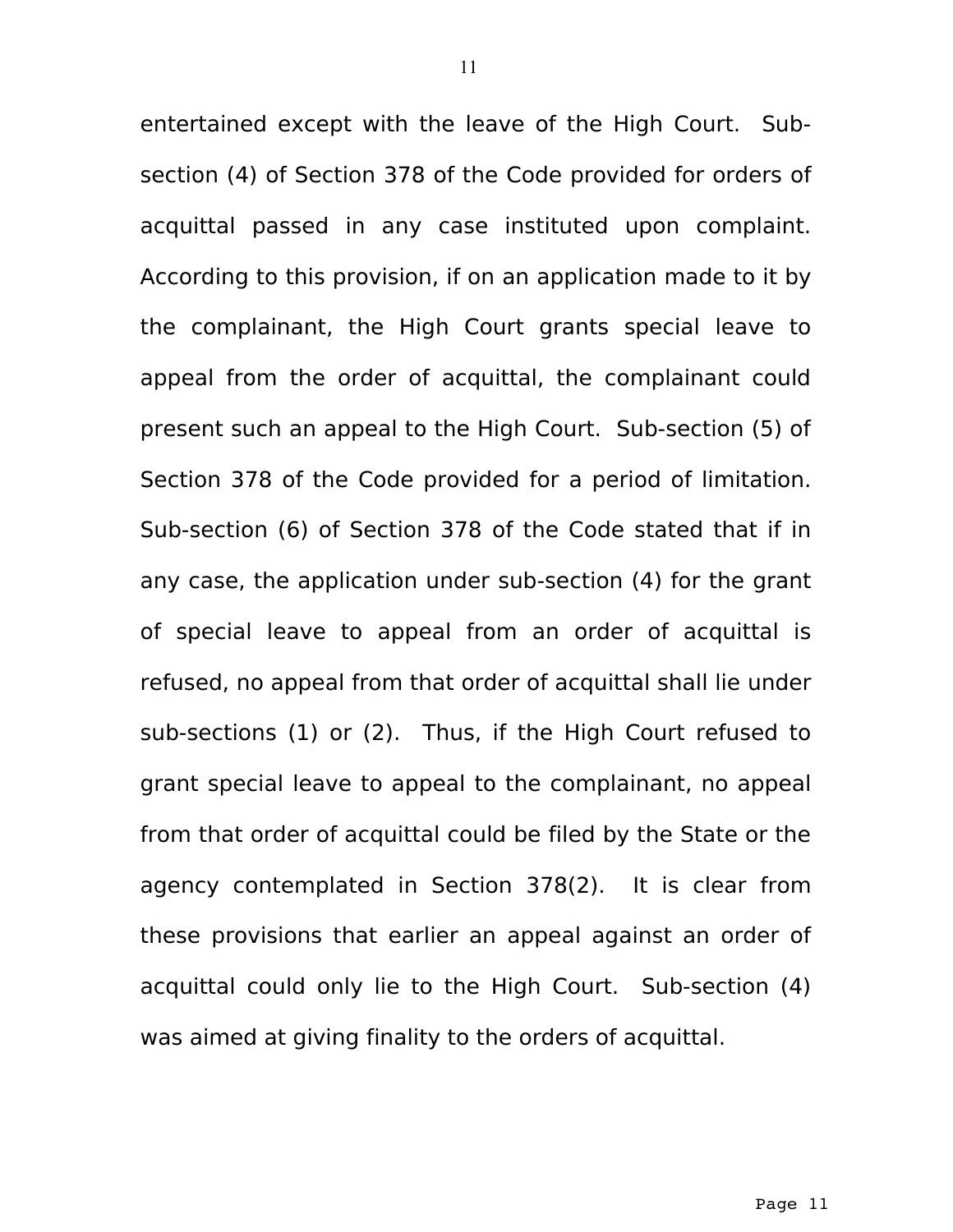entertained except with the leave of the High Court. Subsection (4) of Section 378 of the Code provided for orders of acquittal passed in any case instituted upon complaint. According to this provision, if on an application made to it by the complainant, the High Court grants special leave to appeal from the order of acquittal, the complainant could present such an appeal to the High Court. Sub-section (5) of Section 378 of the Code provided for a period of limitation. Sub-section (6) of Section 378 of the Code stated that if in any case, the application under sub-section (4) for the grant of special leave to appeal from an order of acquittal is refused, no appeal from that order of acquittal shall lie under sub-sections (1) or (2). Thus, if the High Court refused to grant special leave to appeal to the complainant, no appeal from that order of acquittal could be filed by the State or the agency contemplated in Section 378(2). It is clear from these provisions that earlier an appeal against an order of acquittal could only lie to the High Court. Sub-section (4) was aimed at giving finality to the orders of acquittal.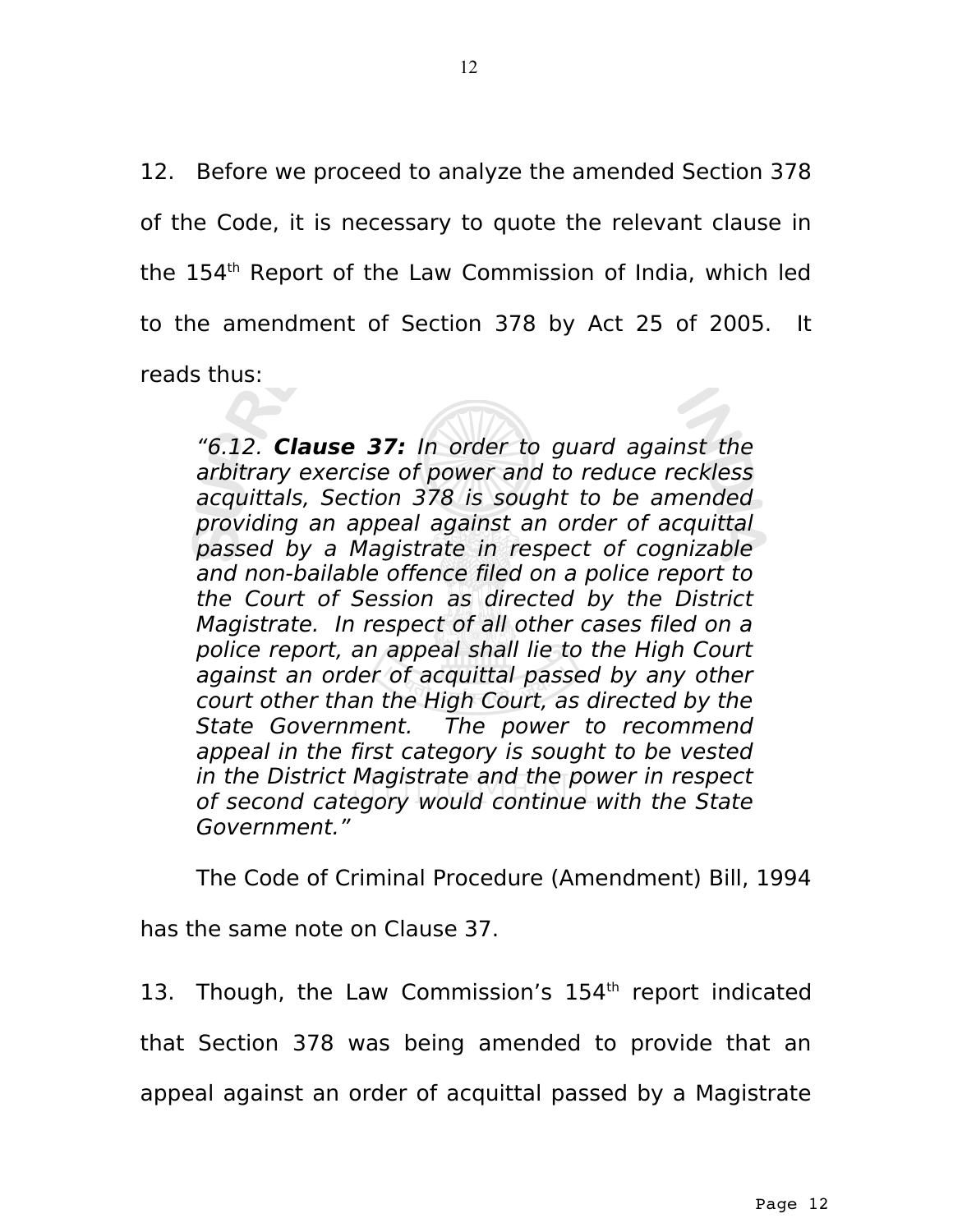12. Before we proceed to analyze the amended Section 378 of the Code, it is necessary to quote the relevant clause in the 154th Report of the Law Commission of India, which led to the amendment of Section 378 by Act 25 of 2005. It reads thus:

"6.12. **Clause 37:** In order to guard against the arbitrary exercise of power and to reduce reckless acquittals, Section 378 is sought to be amended providing an appeal against an order of acquittal passed by a Magistrate in respect of cognizable and non-bailable offence filed on a police report to the Court of Session as directed by the District Magistrate. In respect of all other cases filed on a police report, an appeal shall lie to the High Court against an order of acquittal passed by any other court other than the High Court, as directed by the State Government. The power to recommend appeal in the first category is sought to be vested in the District Magistrate and the power in respect of second category would continue with the State Government."

The Code of Criminal Procedure (Amendment) Bill, 1994

has the same note on Clause 37.

13. Though, the Law Commission's  $154<sup>th</sup>$  report indicated that Section 378 was being amended to provide that an appeal against an order of acquittal passed by a Magistrate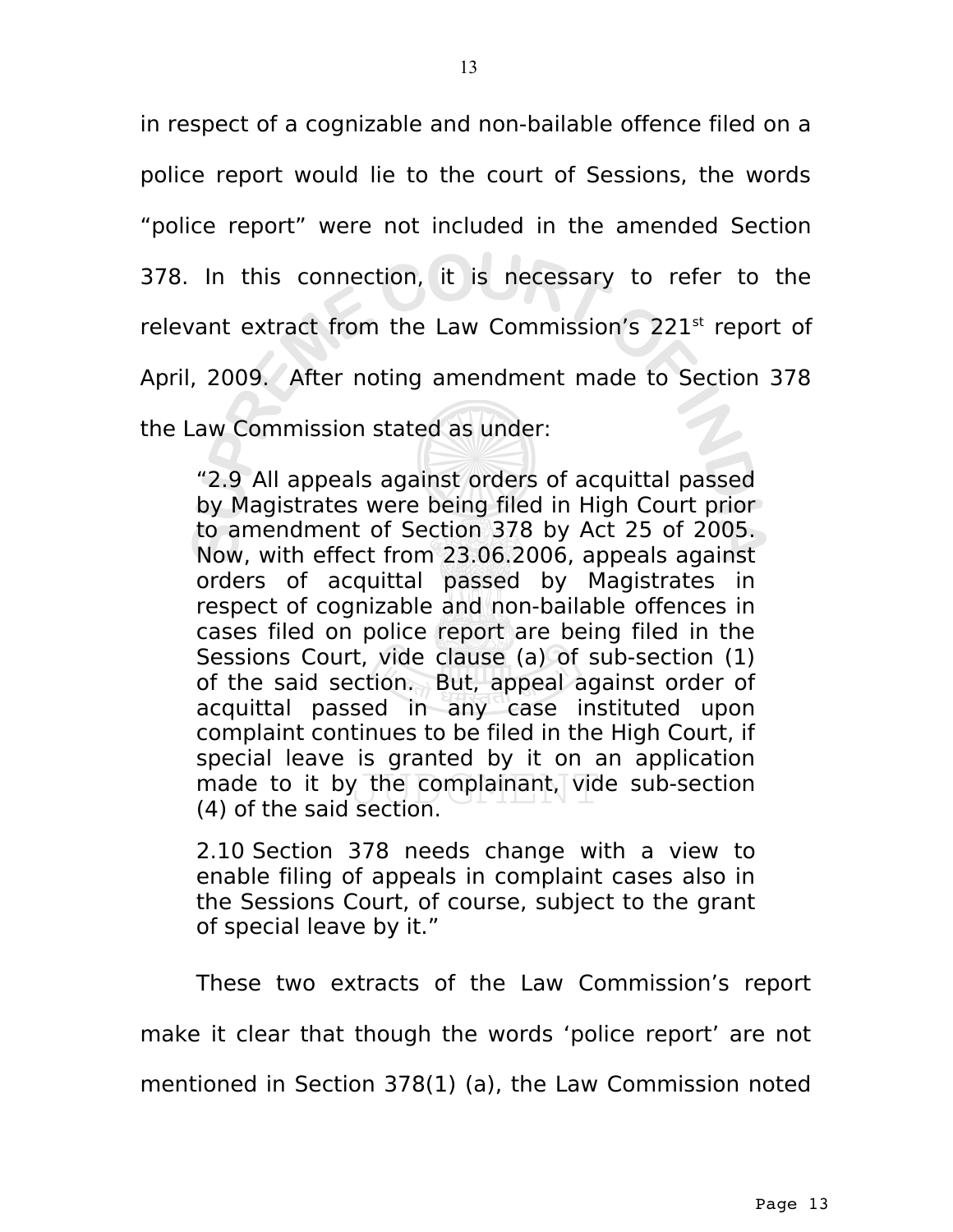in respect of a cognizable and non-bailable offence filed on a police report would lie to the court of Sessions, the words "police report" were not included in the amended Section 378. In this connection, it is necessary to refer to the relevant extract from the Law Commission's 221<sup>st</sup> report of April, 2009. After noting amendment made to Section 378 the Law Commission stated as under:

"2.9 All appeals against orders of acquittal passed by Magistrates were being filed in High Court prior to amendment of Section 378 by Act 25 of 2005. Now, with effect from 23.06.2006, appeals against orders of acquittal passed by Magistrates in respect of cognizable and non-bailable offences in cases filed on police report are being filed in the Sessions Court, vide clause (a) of sub-section (1) of the said section. But, appeal against order of acquittal passed in any case instituted upon complaint continues to be filed in the High Court, if special leave is granted by it on an application made to it by the complainant, vide sub-section (4) of the said section.

2.10 Section 378 needs change with a view to enable filing of appeals in complaint cases also in the Sessions Court, of course, subject to the grant of special leave by it."

These two extracts of the Law Commission's report

make it clear that though the words 'police report' are not

mentioned in Section 378(1) (a), the Law Commission noted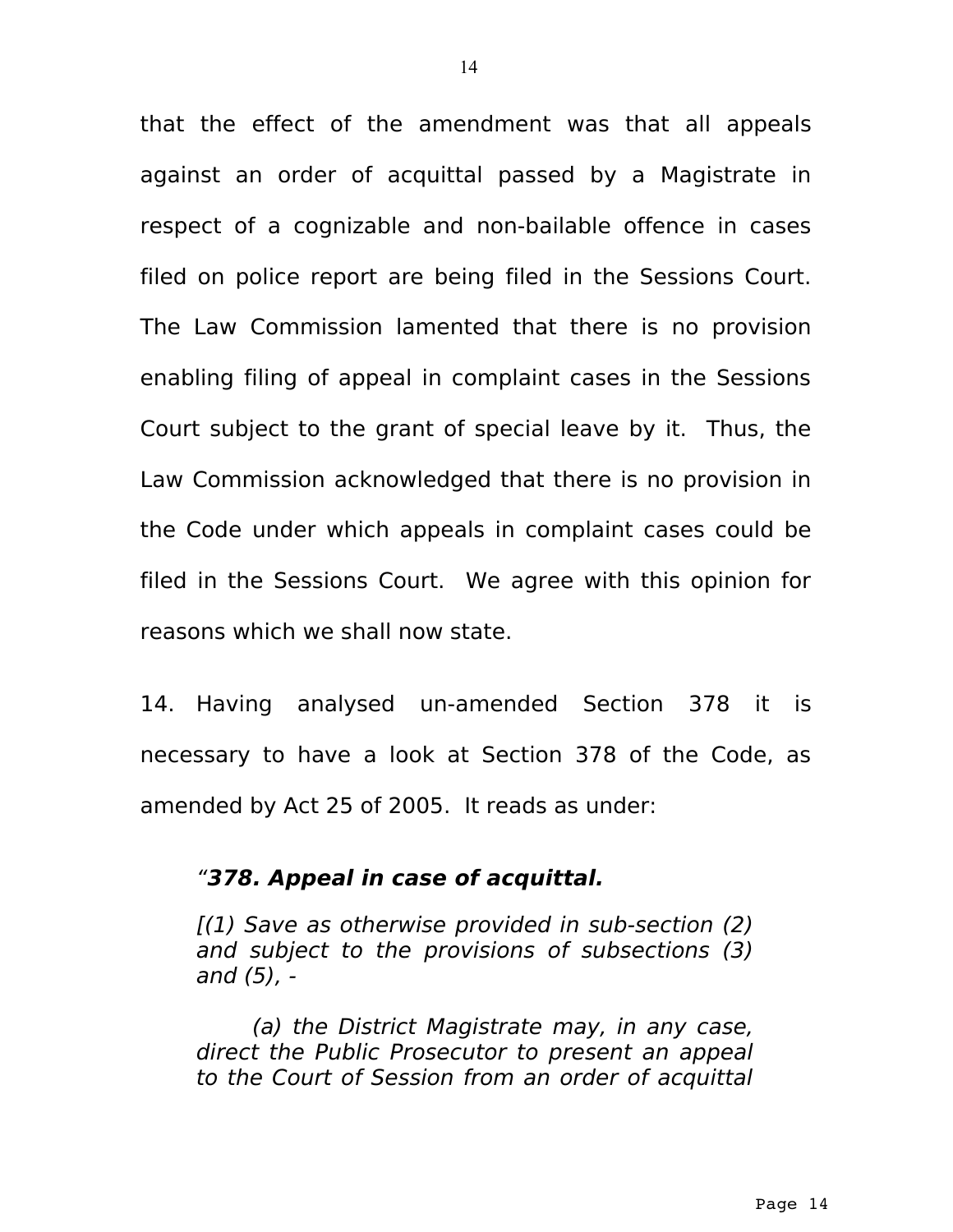that the effect of the amendment was that all appeals against an order of acquittal passed by a Magistrate in respect of a cognizable and non-bailable offence in cases filed on police report are being filed in the Sessions Court. The Law Commission lamented that there is no provision enabling filing of appeal in complaint cases in the Sessions Court subject to the grant of special leave by it. Thus, the Law Commission acknowledged that there is no provision in the Code under which appeals in complaint cases could be filed in the Sessions Court. We agree with this opinion for reasons which we shall now state.

14. Having analysed un-amended Section 378 it is necessary to have a look at Section 378 of the Code, as amended by Act 25 of 2005. It reads as under:

### "**378. Appeal in case of acquittal.**

[(1) Save as otherwise provided in sub-section (2) and subject to the provisions of subsections (3) and (5), -

(a) the District Magistrate may, in any case, direct the Public Prosecutor to present an appeal to the Court of Session from an order of acquittal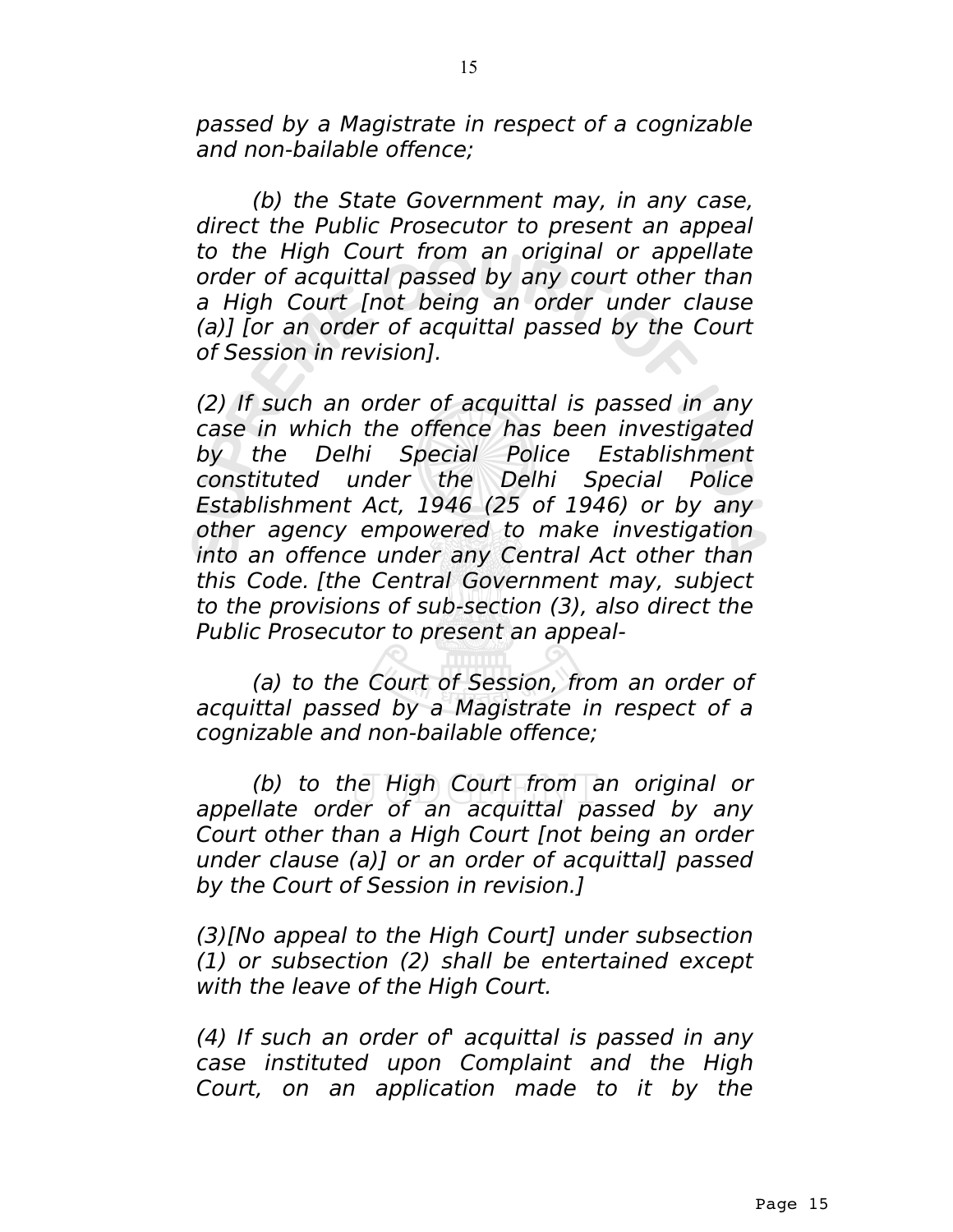passed by a Magistrate in respect of a cognizable and non-bailable offence;

(b) the State Government may, in any case, direct the Public Prosecutor to present an appeal to the High Court from an original or appellate order of acquittal passed by any court other than a High Court [not being an order under clause (a)] [or an order of acquittal passed by the Court of Session in revision].

(2) If such an order of acquittal is passed in any case in which the offence has been investigated by the Delhi Special Police Establishment constituted under the Delhi Special Police Establishment Act, 1946 (25 of 1946) or by any other agency empowered to make investigation into an offence under any Central Act other than this Code. [the Central Government may, subject to the provisions of sub-section (3), also direct the Public Prosecutor to present an appeal-

(a) to the Court of Session, from an order of acquittal passed by a Magistrate in respect of a cognizable and non-bailable offence;

(b) to the High Court from an original or appellate order of an acquittal passed by any Court other than a High Court [not being an order under clause (a)] or an order of acquittal] passed by the Court of Session in revision.]

(3)[No appeal to the High Court] under subsection (1) or subsection (2) shall be entertained except with the leave of the High Court.

(4) If such an order of' acquittal is passed in any case instituted upon Complaint and the High Court, on an application made to it by the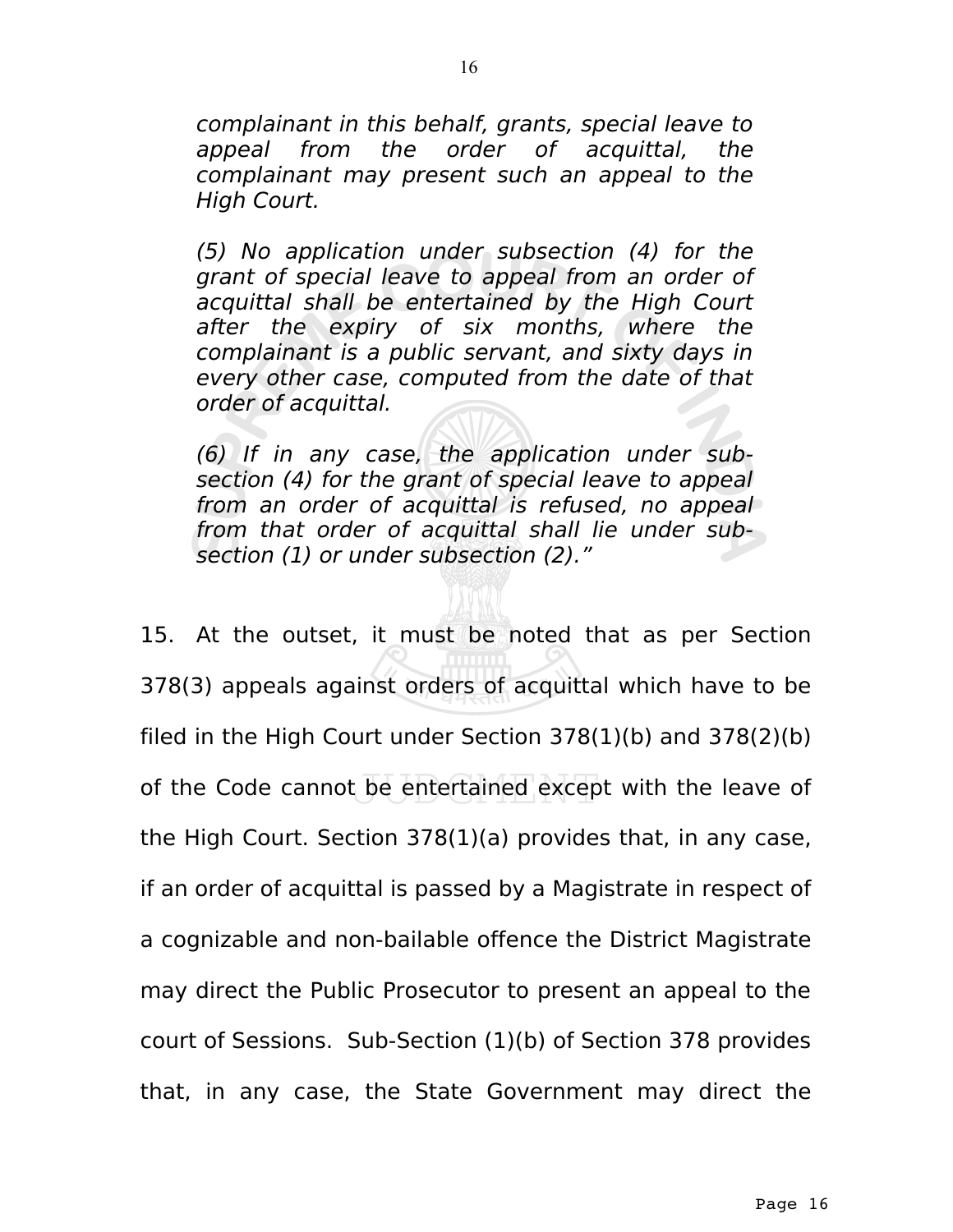complainant in this behalf, grants, special leave to appeal from the order of acquittal, the complainant may present such an appeal to the High Court.

(5) No application under subsection (4) for the grant of special leave to appeal from an order of acquittal shall be entertained by the High Court after the expiry of six months, where the complainant is a public servant, and sixty days in every other case, computed from the date of that order of acquittal.

(6) If in any case, the application under subsection (4) for the grant of special leave to appeal from an order of acquittal is refused, no appeal from that order of acquittal shall lie under subsection (1) or under subsection (2)."

15. At the outset, it must be noted that as per Section 378(3) appeals against orders of acquittal which have to be filed in the High Court under Section 378(1)(b) and 378(2)(b) of the Code cannot be entertained except with the leave of the High Court. Section 378(1)(a) provides that, in any case, if an order of acquittal is passed by a Magistrate in respect of a cognizable and non-bailable offence the District Magistrate may direct the Public Prosecutor to present an appeal to the court of Sessions. Sub-Section (1)(b) of Section 378 provides that, in any case, the State Government may direct the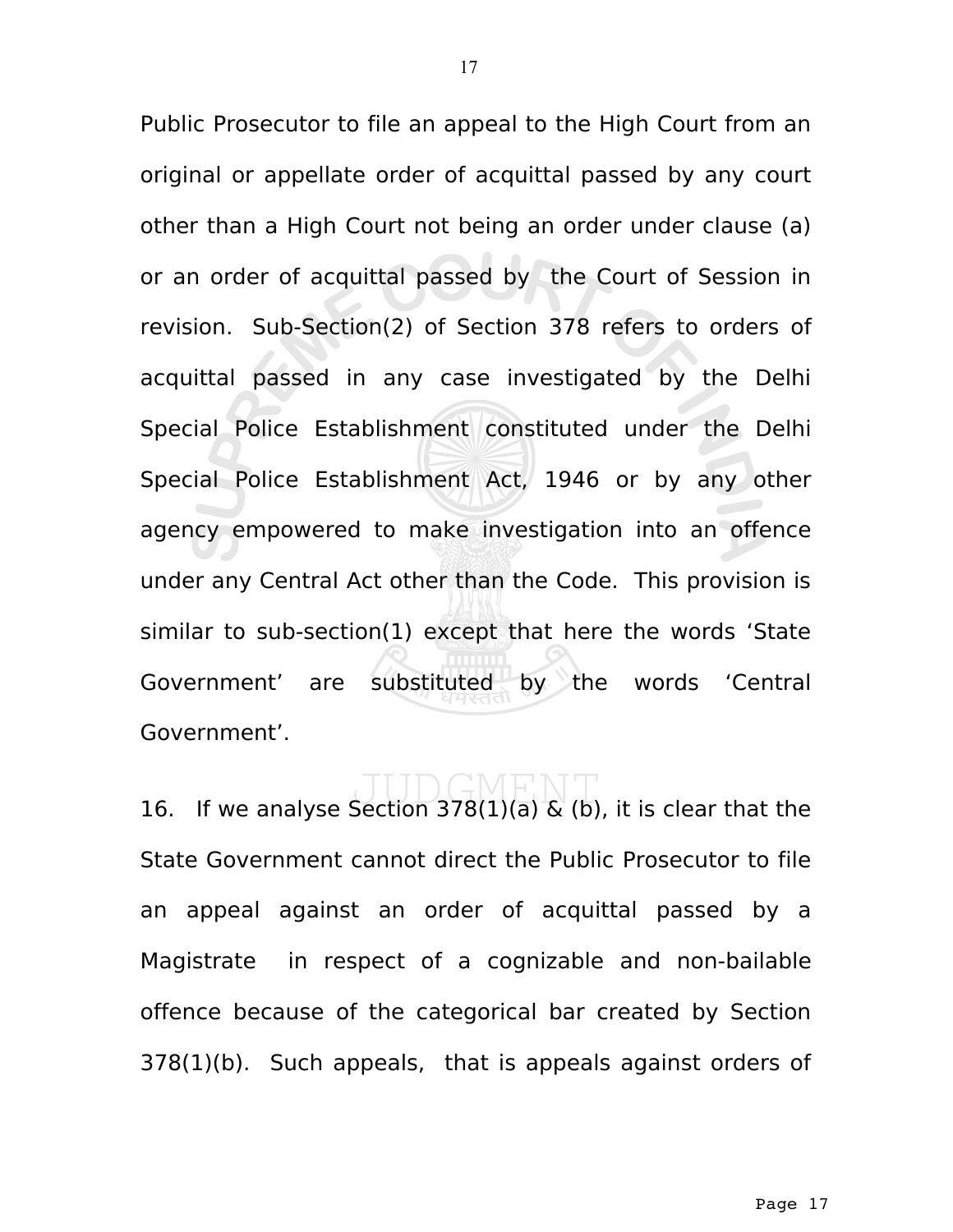Public Prosecutor to file an appeal to the High Court from an original or appellate order of acquittal passed by any court other than a High Court not being an order under clause (a) or an order of acquittal passed by the Court of Session in revision. Sub-Section(2) of Section 378 refers to orders of acquittal passed in any case investigated by the Delhi Special Police Establishment constituted under the Delhi Special Police Establishment Act, 1946 or by any other agency empowered to make investigation into an offence under any Central Act other than the Code. This provision is similar to sub-section(1) except that here the words 'State Government' are substituted by the words 'Central Government'.

16. If we analyse Section 378(1)(a)  $\&$  (b), it is clear that the State Government cannot direct the Public Prosecutor to file an appeal against an order of acquittal passed by a Magistrate in respect of a cognizable and non-bailable offence because of the categorical bar created by Section 378(1)(b). Such appeals, that is appeals against orders of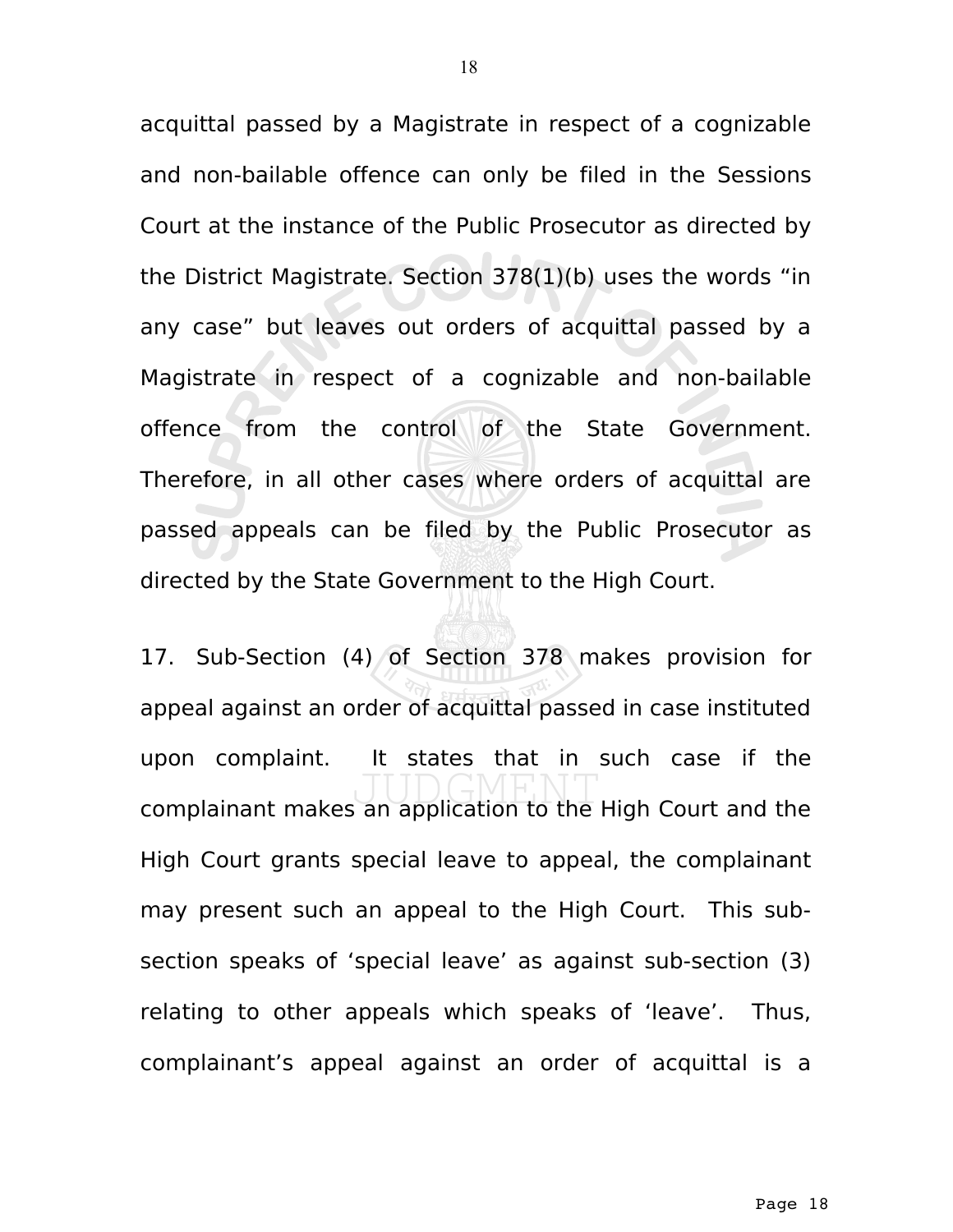acquittal passed by a Magistrate in respect of a cognizable and non-bailable offence can only be filed in the Sessions Court at the instance of the Public Prosecutor as directed by the District Magistrate. Section 378(1)(b) uses the words "in any case" but leaves out orders of acquittal passed by a Magistrate in respect of a cognizable and non-bailable offence from the control of the State Government. Therefore, in all other cases where orders of acquittal are passed appeals can be filed by the Public Prosecutor as directed by the State Government to the High Court.

17. Sub-Section (4) of Section 378 makes provision for appeal against an order of acquittal passed in case instituted upon complaint. It states that in such case if the complainant makes an application to the High Court and the High Court grants special leave to appeal, the complainant may present such an appeal to the High Court. This subsection speaks of 'special leave' as against sub-section (3) relating to other appeals which speaks of 'leave'. Thus, complainant's appeal against an order of acquittal is a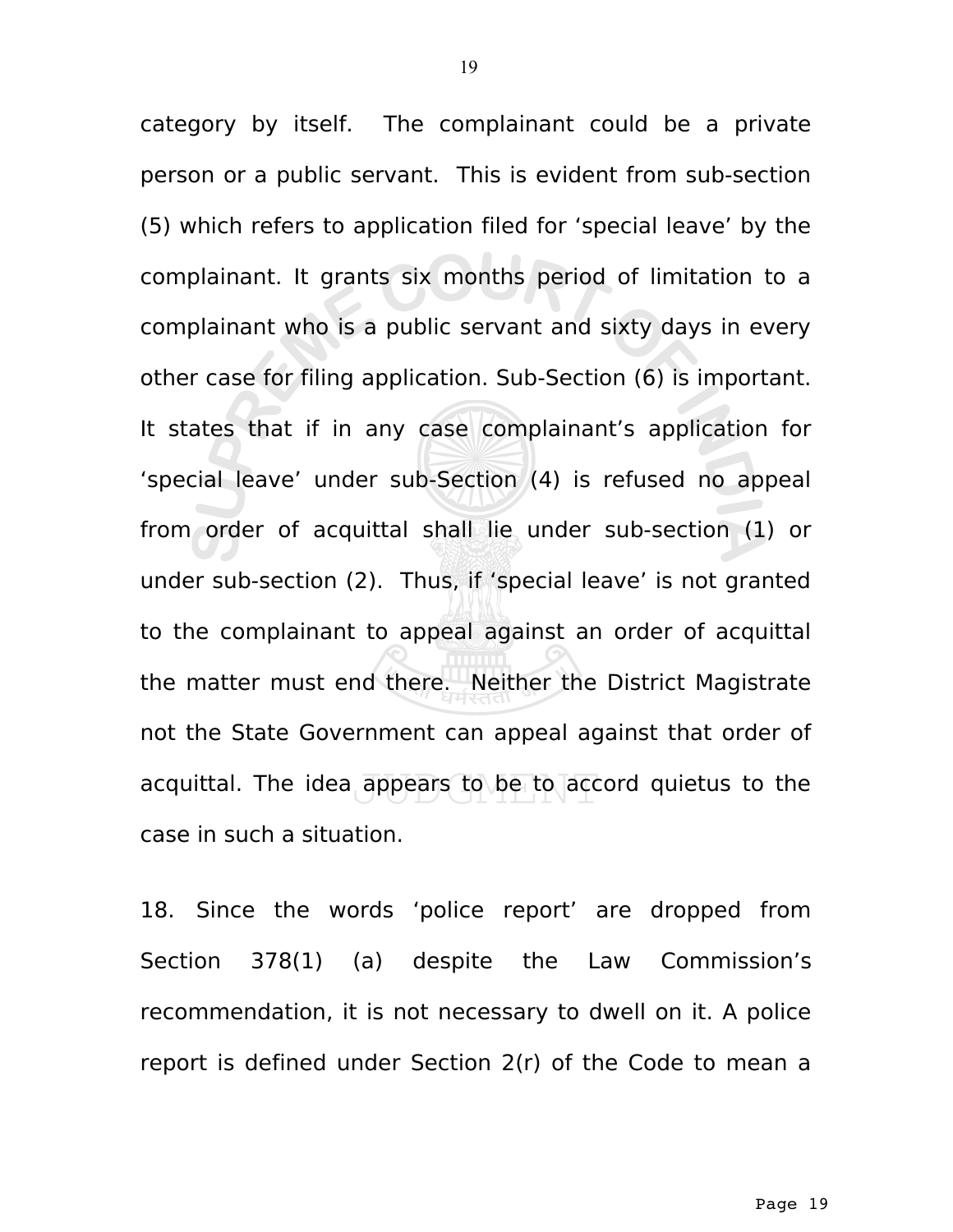category by itself. The complainant could be a private person or a public servant. This is evident from sub-section (5) which refers to application filed for 'special leave' by the complainant. It grants six months period of limitation to a complainant who is a public servant and sixty days in every other case for filing application. Sub-Section (6) is important. It states that if in any case complainant's application for 'special leave' under sub-Section (4) is refused no appeal from order of acquittal shall lie under sub-section (1) or under sub-section (2). Thus, if 'special leave' is not granted to the complainant to appeal against an order of acquittal the matter must end there. Neither the District Magistrate not the State Government can appeal against that order of acquittal. The idea appears to be to accord quietus to the case in such a situation.

18. Since the words 'police report' are dropped from Section 378(1) (a) despite the Law Commission's recommendation, it is not necessary to dwell on it. A police report is defined under Section 2(r) of the Code to mean a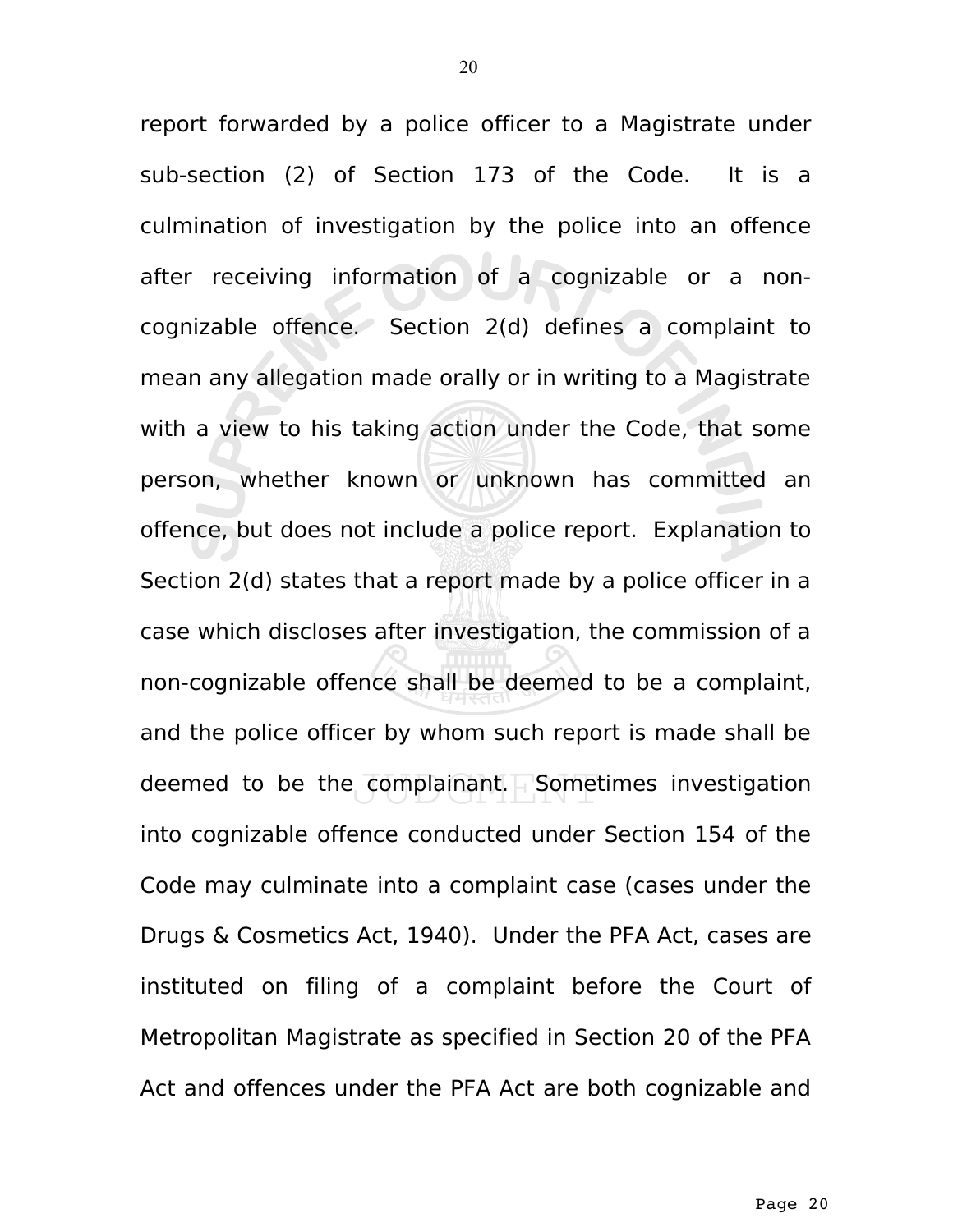report forwarded by a police officer to a Magistrate under sub-section (2) of Section 173 of the Code. It is a culmination of investigation by the police into an offence after receiving information of a cognizable or a noncognizable offence. Section 2(d) defines a complaint to mean any allegation made orally or in writing to a Magistrate with a view to his taking action under the Code, that some person, whether known or unknown has committed an offence, but does not include a police report. Explanation to Section 2(d) states that a report made by a police officer in a case which discloses after investigation, the commission of a non-cognizable offence shall be deemed to be a complaint, and the police officer by whom such report is made shall be deemed to be the complainant. Sometimes investigation into cognizable offence conducted under Section 154 of the Code may culminate into a complaint case (cases under the Drugs & Cosmetics Act, 1940). Under the PFA Act, cases are instituted on filing of a complaint before the Court of Metropolitan Magistrate as specified in Section 20 of the PFA Act and offences under the PFA Act are both cognizable and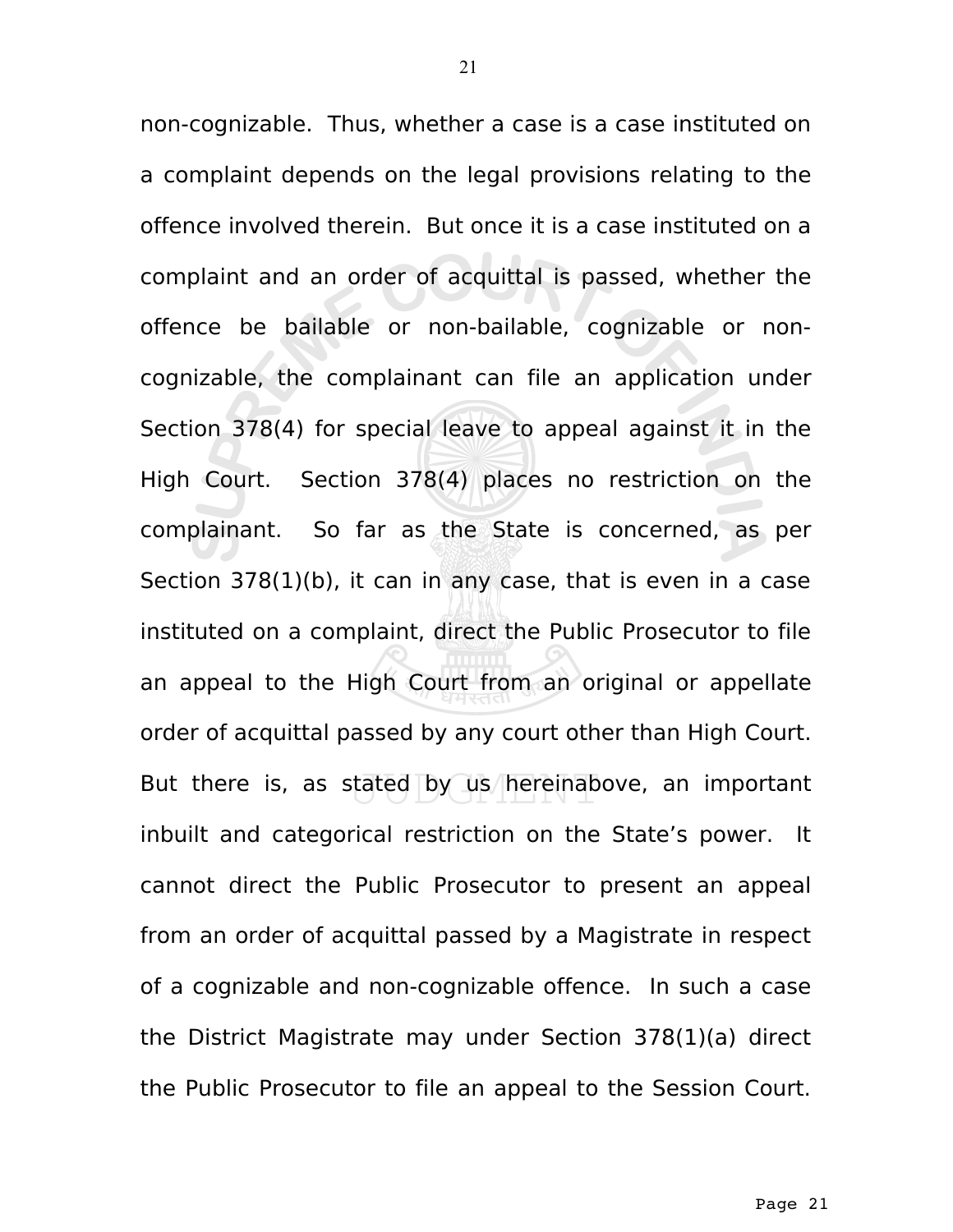non-cognizable. Thus, whether a case is a case instituted on a complaint depends on the legal provisions relating to the offence involved therein. But once it is a case instituted on a complaint and an order of acquittal is passed, whether the offence be bailable or non-bailable, cognizable or noncognizable, the complainant can file an application under Section 378(4) for special leave to appeal against it in the High Court. Section 378(4) places no restriction on the complainant. So far as the State is concerned, as per Section 378(1)(b), it can in any case, that is even in a case instituted on a complaint, direct the Public Prosecutor to file an appeal to the High Court from an original or appellate order of acquittal passed by any court other than High Court. But there is, as stated by us hereinabove, an important inbuilt and categorical restriction on the State's power. It cannot direct the Public Prosecutor to present an appeal from an order of acquittal passed by a Magistrate in respect of a cognizable and non-cognizable offence. In such a case the District Magistrate may under Section 378(1)(a) direct the Public Prosecutor to file an appeal to the Session Court.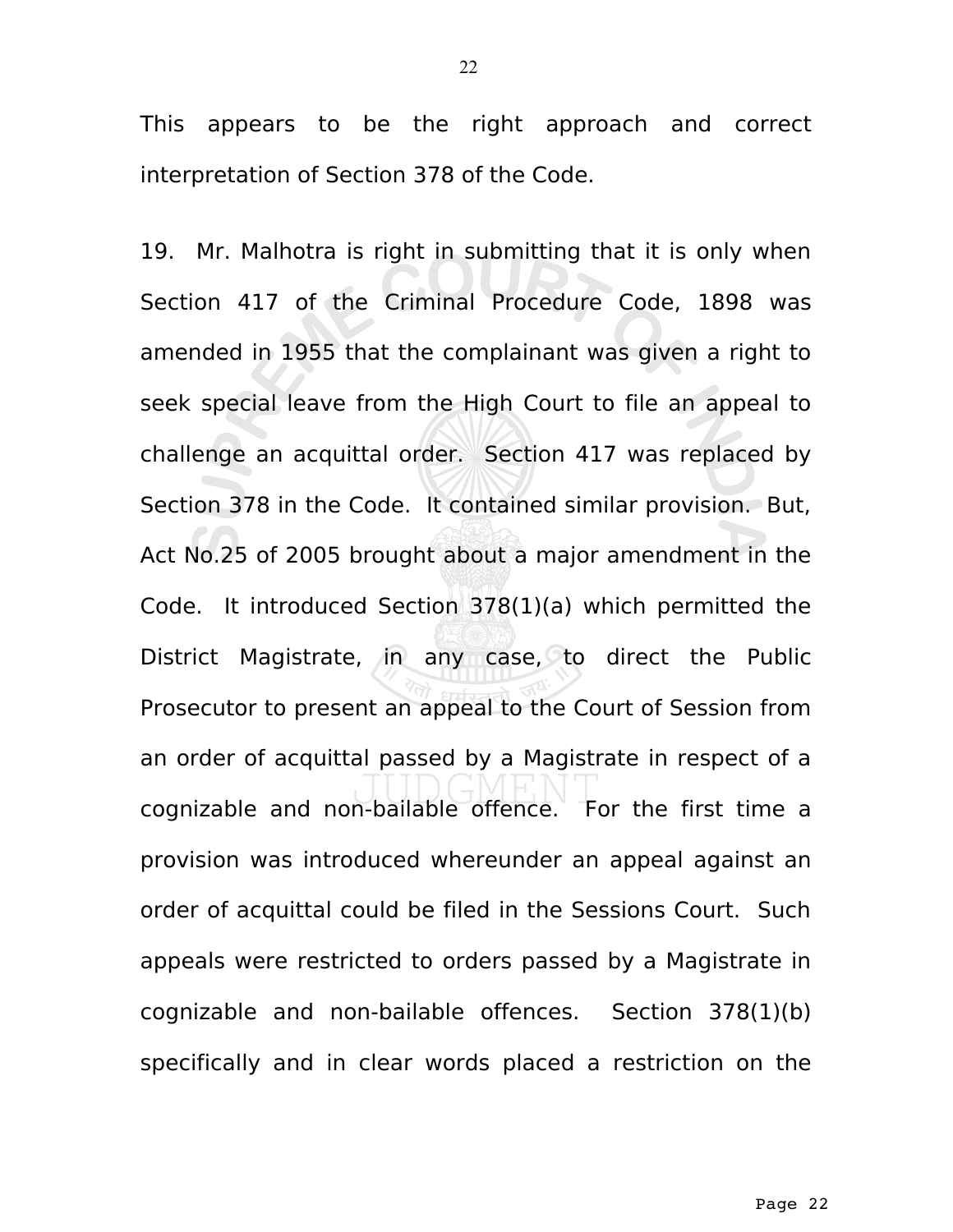This appears to be the right approach and correct interpretation of Section 378 of the Code.

19. Mr. Malhotra is right in submitting that it is only when Section 417 of the Criminal Procedure Code, 1898 was amended in 1955 that the complainant was given a right to seek special leave from the High Court to file an appeal to challenge an acquittal order. Section 417 was replaced by Section 378 in the Code. It contained similar provision. But, Act No.25 of 2005 brought about a major amendment in the Code. It introduced Section 378(1)(a) which permitted the District Magistrate, in any case, to direct the Public Prosecutor to present an appeal to the Court of Session from an order of acquittal passed by a Magistrate in respect of a cognizable and non-bailable offence. For the first time a provision was introduced whereunder an appeal against an order of acquittal could be filed in the Sessions Court. Such appeals were restricted to orders passed by a Magistrate in cognizable and non-bailable offences. Section 378(1)(b) specifically and in clear words placed a restriction on the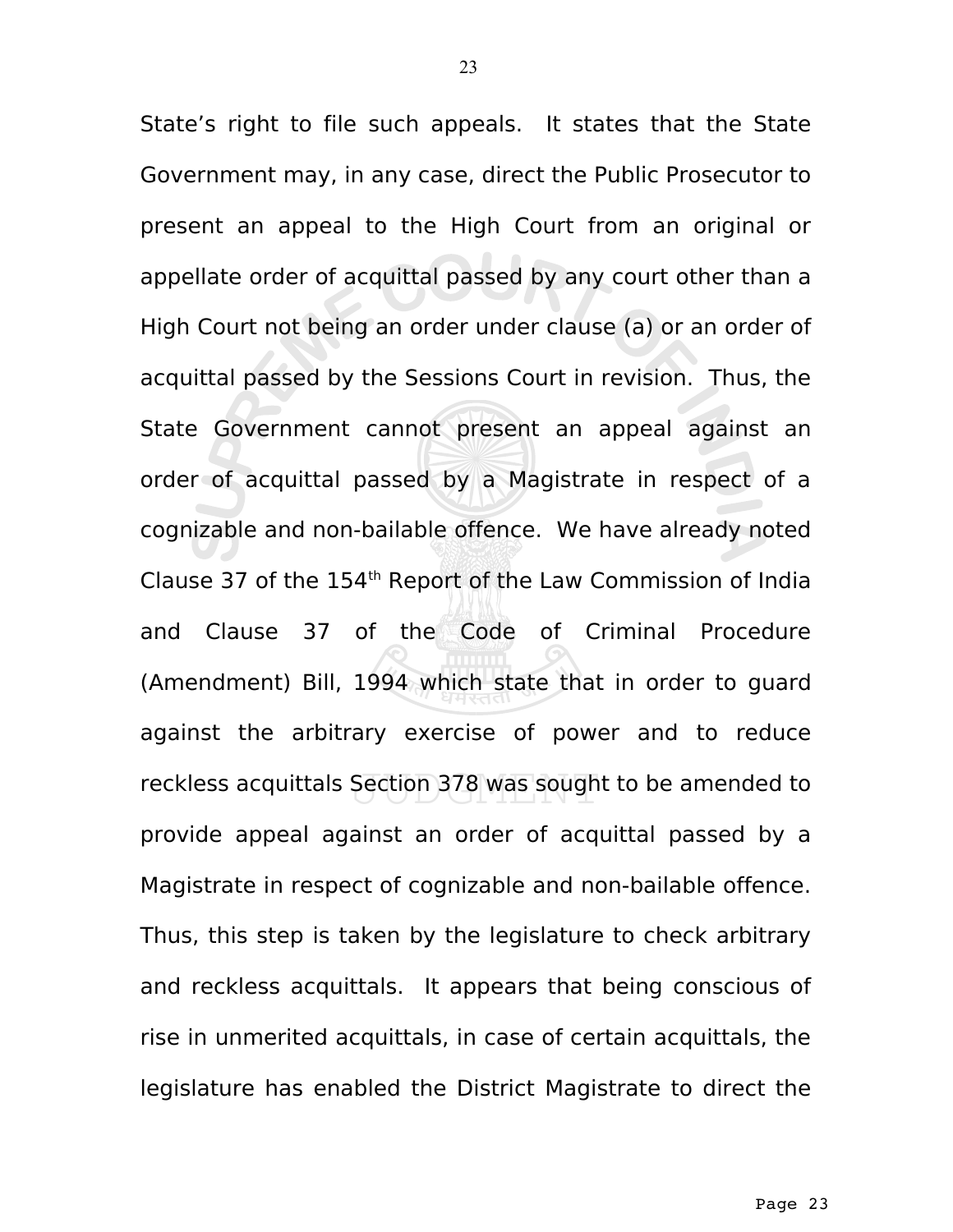State's right to file such appeals. It states that the State Government may, in any case, direct the Public Prosecutor to present an appeal to the High Court from an original or appellate order of acquittal passed by any court other than a High Court not being an order under clause (a) or an order of acquittal passed by the Sessions Court in revision. Thus, the State Government cannot present an appeal against an order of acquittal passed by a Magistrate in respect of a cognizable and non-bailable offence. We have already noted Clause 37 of the  $154<sup>th</sup>$  Report of the Law Commission of India and Clause 37 of the Code of Criminal Procedure (Amendment) Bill, 1994 which state that in order to guard against the arbitrary exercise of power and to reduce reckless acquittals Section 378 was sought to be amended to provide appeal against an order of acquittal passed by a Magistrate in respect of cognizable and non-bailable offence. Thus, this step is taken by the legislature to check arbitrary and reckless acquittals. It appears that being conscious of rise in unmerited acquittals, in case of certain acquittals, the legislature has enabled the District Magistrate to direct the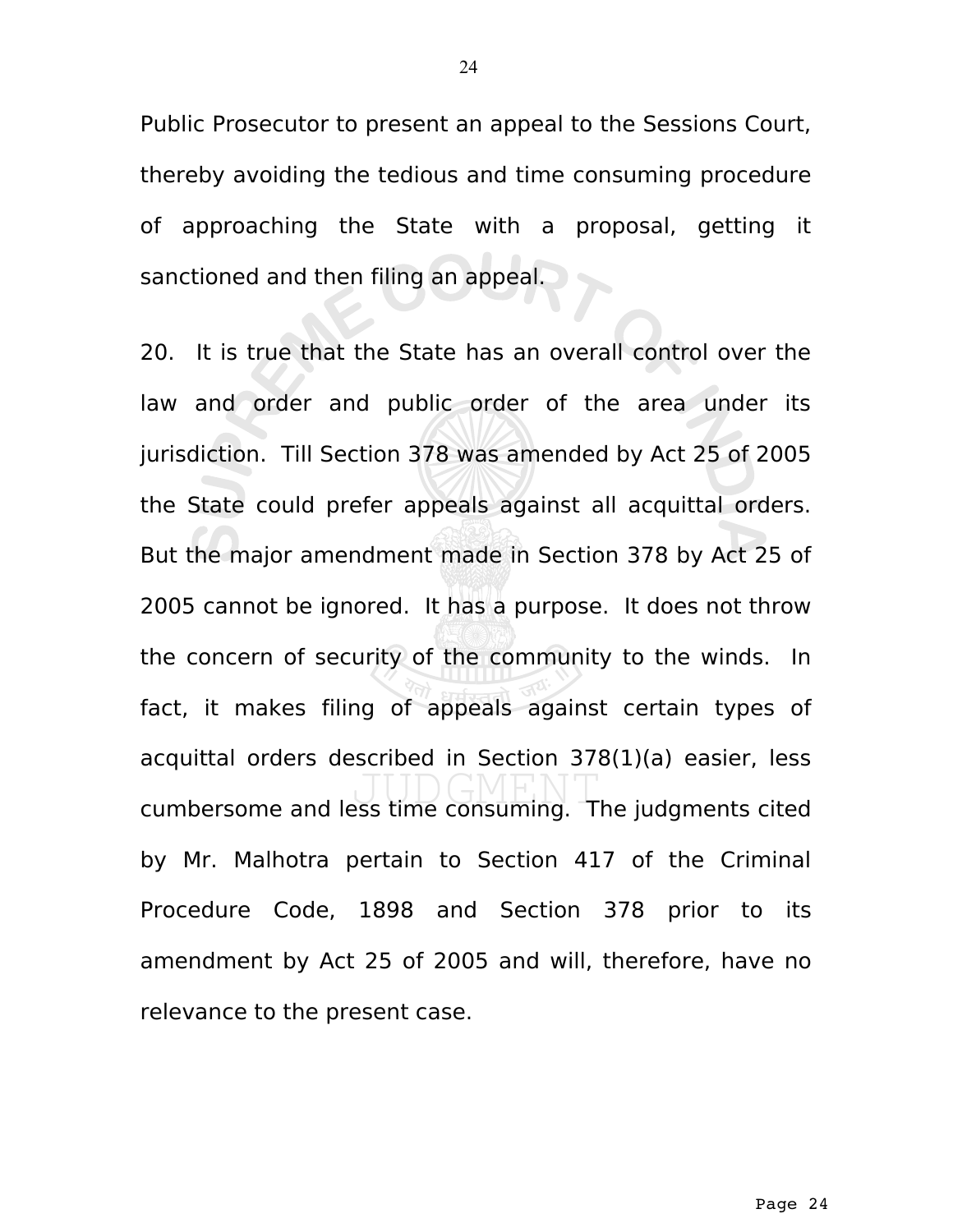Public Prosecutor to present an appeal to the Sessions Court, thereby avoiding the tedious and time consuming procedure of approaching the State with a proposal, getting it sanctioned and then filing an appeal.

20. It is true that the State has an overall control over the law and order and public order of the area under its jurisdiction. Till Section 378 was amended by Act 25 of 2005 the State could prefer appeals against all acquittal orders. But the major amendment made in Section 378 by Act 25 of 2005 cannot be ignored. It has a purpose. It does not throw the concern of security of the community to the winds. In fact, it makes filing of appeals against certain types of acquittal orders described in Section 378(1)(a) easier, less cumbersome and less time consuming. The judgments cited by Mr. Malhotra pertain to Section 417 of the Criminal Procedure Code, 1898 and Section 378 prior to its amendment by Act 25 of 2005 and will, therefore, have no relevance to the present case.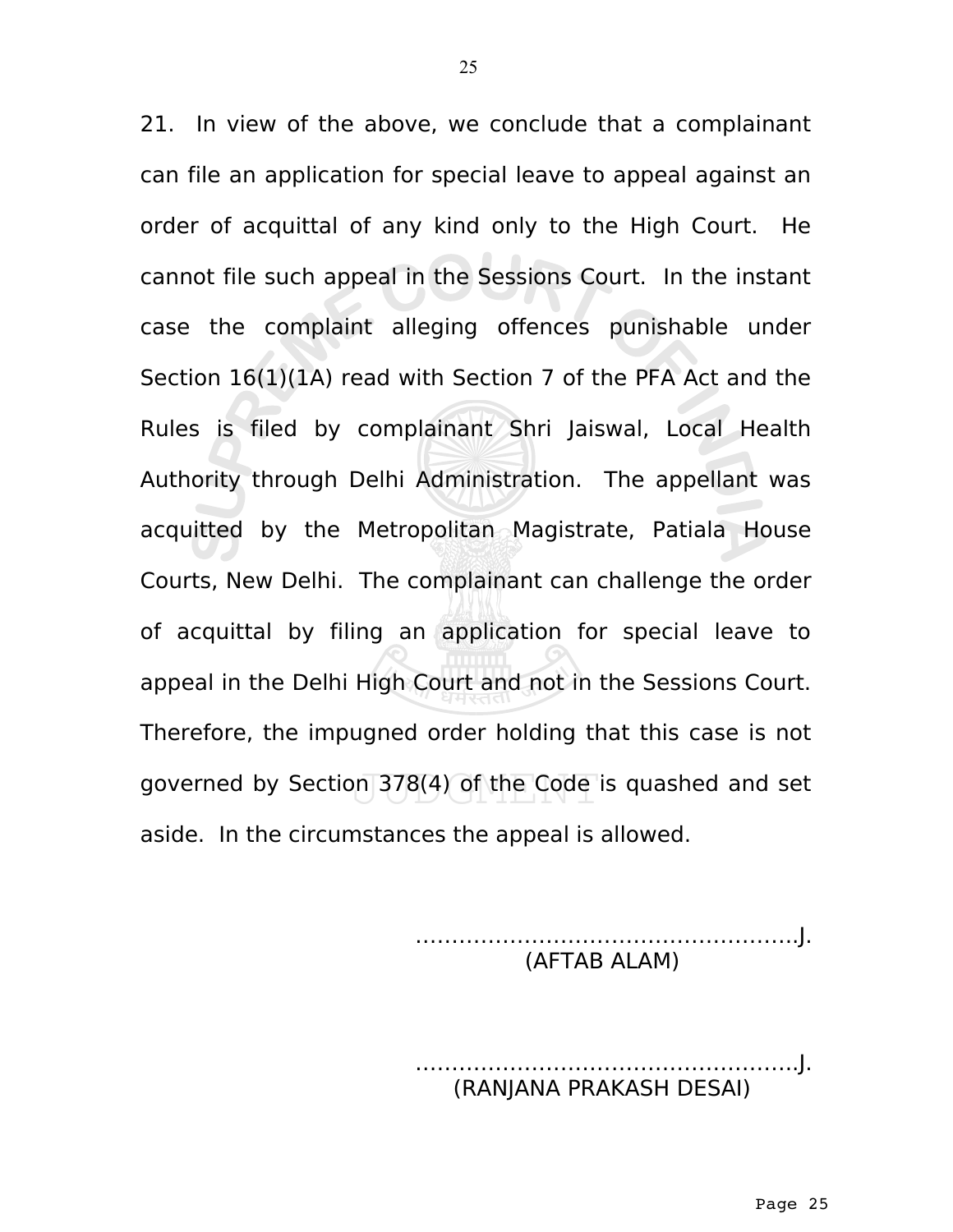21. In view of the above, we conclude that a complainant can file an application for special leave to appeal against an order of acquittal of any kind only to the High Court. He cannot file such appeal in the Sessions Court. In the instant case the complaint alleging offences punishable under Section 16(1)(1A) read with Section 7 of the PFA Act and the Rules is filed by complainant Shri Jaiswal, Local Health Authority through Delhi Administration. The appellant was acquitted by the Metropolitan Magistrate, Patiala House Courts, New Delhi. The complainant can challenge the order of acquittal by filing an application for special leave to appeal in the Delhi High Court and not in the Sessions Court. Therefore, the impugned order holding that this case is not governed by Section 378(4) of the Code is quashed and set aside. In the circumstances the appeal is allowed.

> ……………………………………………..J. (AFTAB ALAM)

……………………………………………..J. (RANJANA PRAKASH DESAI)